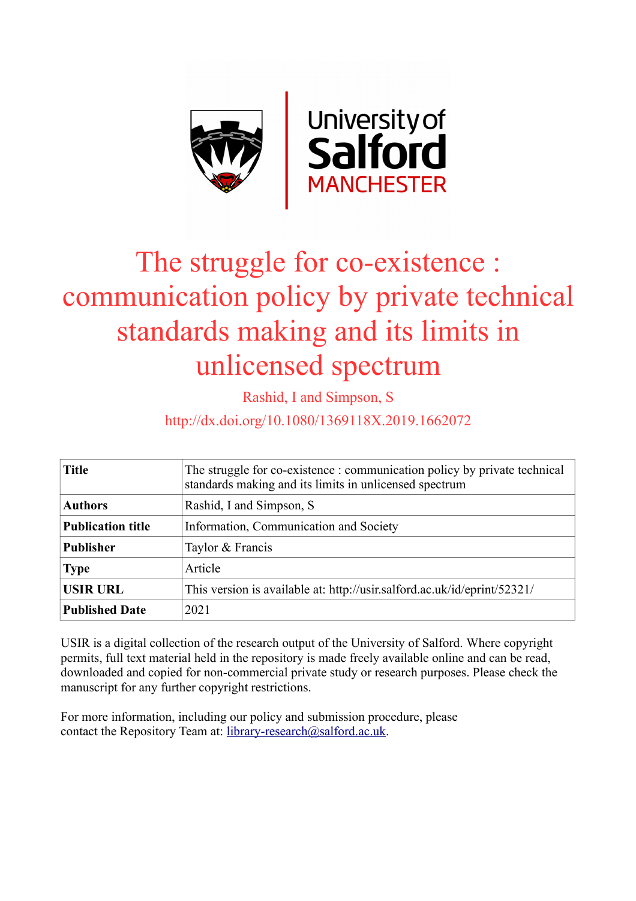

# The struggle for co-existence : communication policy by private technical standards making and its limits in unlicensed spectrum

Rashid, I and Simpson, S

http://dx.doi.org/10.1080/1369118X.2019.1662072

| <b>Title</b>             | The struggle for co-existence : communication policy by private technical<br>standards making and its limits in unlicensed spectrum |  |  |
|--------------------------|-------------------------------------------------------------------------------------------------------------------------------------|--|--|
| <b>Authors</b>           | Rashid, I and Simpson, S.                                                                                                           |  |  |
| <b>Publication title</b> | Information, Communication and Society                                                                                              |  |  |
| <b>Publisher</b>         | Taylor & Francis                                                                                                                    |  |  |
| <b>Type</b>              | Article                                                                                                                             |  |  |
| <b>USIR URL</b>          | This version is available at: http://usir.salford.ac.uk/id/eprint/52321/                                                            |  |  |
| <b>Published Date</b>    | 2021                                                                                                                                |  |  |

USIR is a digital collection of the research output of the University of Salford. Where copyright permits, full text material held in the repository is made freely available online and can be read, downloaded and copied for non-commercial private study or research purposes. Please check the manuscript for any further copyright restrictions.

For more information, including our policy and submission procedure, please contact the Repository Team at: [library-research@salford.ac.uk.](mailto:library-research@salford.ac.uk)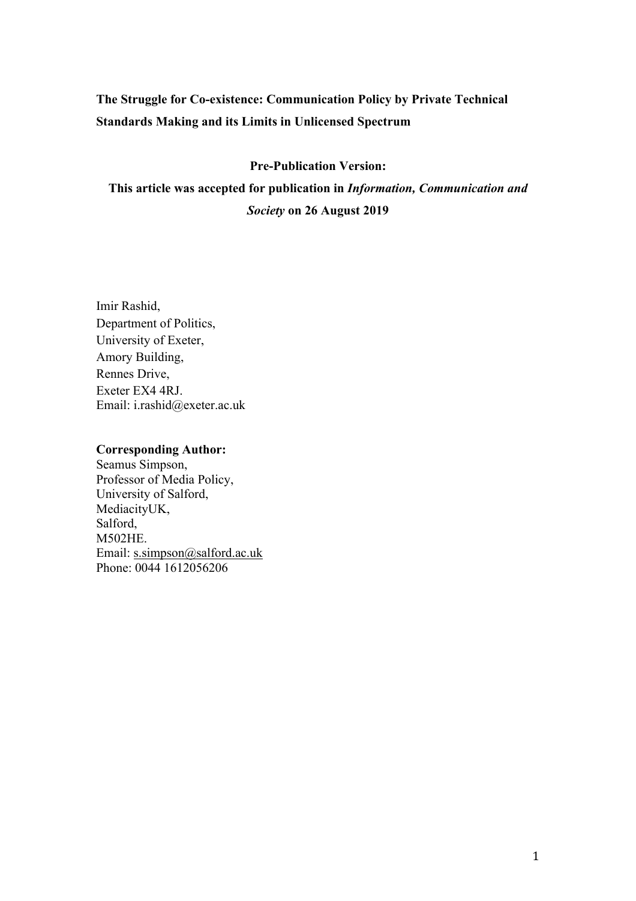### **The Struggle for Co-existence: Communication Policy by Private Technical Standards Making and its Limits in Unlicensed Spectrum**

### **Pre-Publication Version:**

**This article was accepted for publication in** *Information, Communication and Society* **on 26 August 2019**

Imir Rashid, Department of Politics, University of Exeter, Amory Building, Rennes Drive, Exeter EX4 4RJ. Email: i.rashid@exeter.ac.uk

#### **Corresponding Author:**

Seamus Simpson, Professor of Media Policy, University of Salford, MediacityUK, Salford, M502HE. Email: s.simpson@salford.ac.uk Phone: 0044 1612056206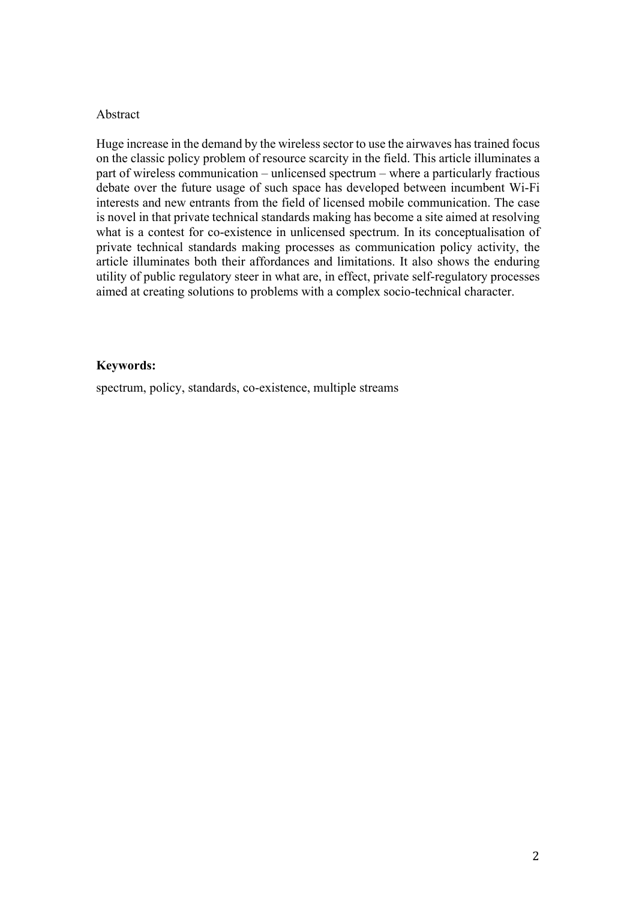### Abstract

Huge increase in the demand by the wireless sector to use the airwaves has trained focus on the classic policy problem of resource scarcity in the field. This article illuminates a part of wireless communication – unlicensed spectrum – where a particularly fractious debate over the future usage of such space has developed between incumbent Wi-Fi interests and new entrants from the field of licensed mobile communication. The case is novel in that private technical standards making has become a site aimed at resolving what is a contest for co-existence in unlicensed spectrum. In its conceptualisation of private technical standards making processes as communication policy activity, the article illuminates both their affordances and limitations. It also shows the enduring utility of public regulatory steer in what are, in effect, private self-regulatory processes aimed at creating solutions to problems with a complex socio-technical character.

### **Keywords:**

spectrum, policy, standards, co-existence, multiple streams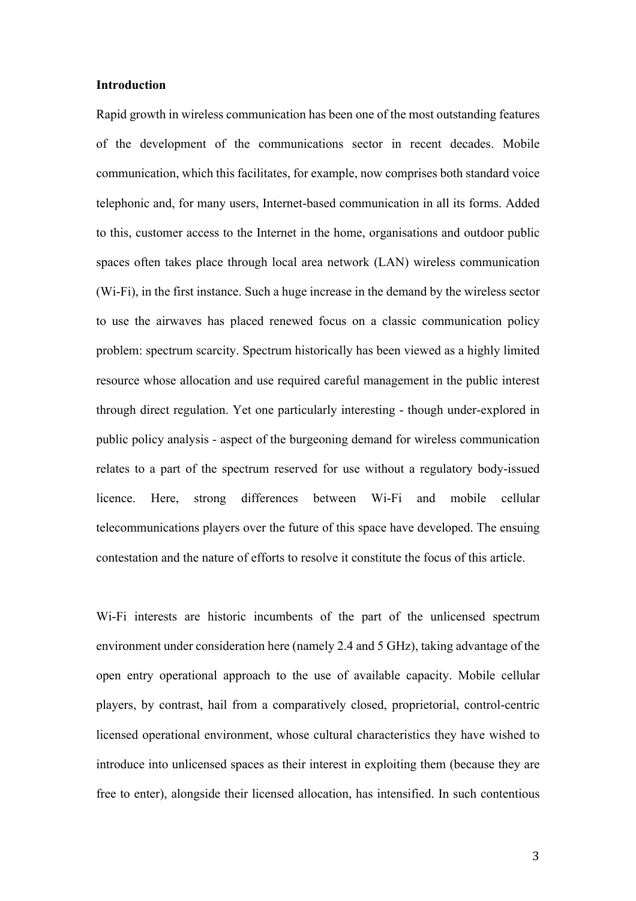#### **Introduction**

Rapid growth in wireless communication has been one of the most outstanding features of the development of the communications sector in recent decades. Mobile communication, which this facilitates, for example, now comprises both standard voice telephonic and, for many users, Internet-based communication in all its forms. Added to this, customer access to the Internet in the home, organisations and outdoor public spaces often takes place through local area network (LAN) wireless communication (Wi-Fi), in the first instance. Such a huge increase in the demand by the wireless sector to use the airwaves has placed renewed focus on a classic communication policy problem: spectrum scarcity. Spectrum historically has been viewed as a highly limited resource whose allocation and use required careful management in the public interest through direct regulation. Yet one particularly interesting - though under-explored in public policy analysis - aspect of the burgeoning demand for wireless communication relates to a part of the spectrum reserved for use without a regulatory body-issued licence. Here, strong differences between Wi-Fi and mobile cellular telecommunications players over the future of this space have developed. The ensuing contestation and the nature of efforts to resolve it constitute the focus of this article.

Wi-Fi interests are historic incumbents of the part of the unlicensed spectrum environment under consideration here (namely 2.4 and 5 GHz), taking advantage of the open entry operational approach to the use of available capacity. Mobile cellular players, by contrast, hail from a comparatively closed, proprietorial, control-centric licensed operational environment, whose cultural characteristics they have wished to introduce into unlicensed spaces as their interest in exploiting them (because they are free to enter), alongside their licensed allocation, has intensified. In such contentious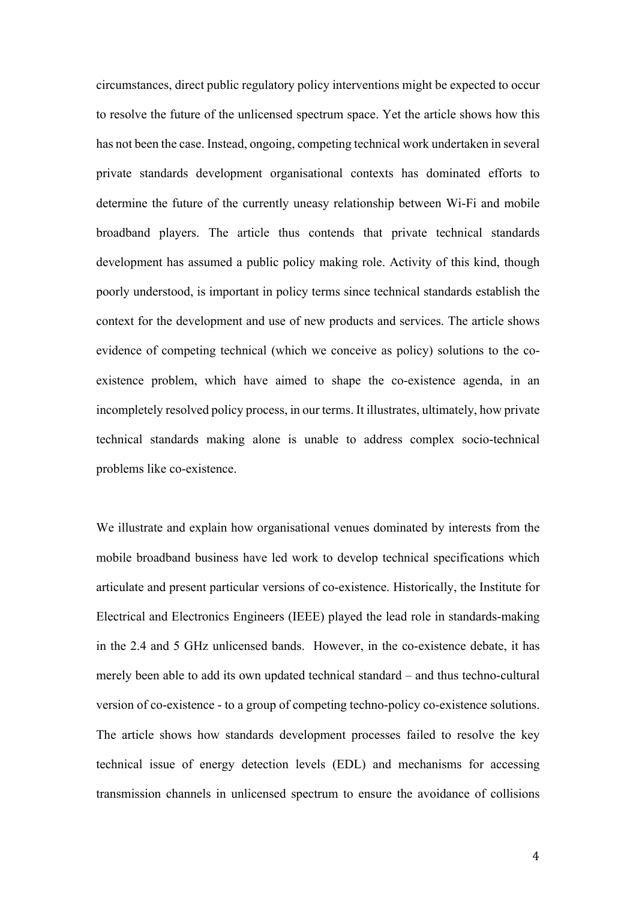circumstances, direct public regulatory policy interventions might be expected to occur to resolve the future of the unlicensed spectrum space. Yet the article shows how this has not been the case. Instead, ongoing, competing technical work undertaken in several private standards development organisational contexts has dominated efforts to determine the future of the currently uneasy relationship between Wi-Fi and mobile broadband players. The article thus contends that private technical standards development has assumed a public policy making role. Activity of this kind, though poorly understood, is important in policy terms since technical standards establish the context for the development and use of new products and services. The article shows evidence of competing technical (which we conceive as policy) solutions to the coexistence problem, which have aimed to shape the co-existence agenda, in an incompletely resolved policy process, in our terms. It illustrates, ultimately, how private technical standards making alone is unable to address complex socio-technical problems like co-existence.

We illustrate and explain how organisational venues dominated by interests from the mobile broadband business have led work to develop technical specifications which articulate and present particular versions of co-existence. Historically, the Institute for Electrical and Electronics Engineers (IEEE) played the lead role in standards-making in the 2.4 and 5 GHz unlicensed bands. However, in the co-existence debate, it has merely been able to add its own updated technical standard – and thus techno-cultural version of co-existence - to a group of competing techno-policy co-existence solutions. The article shows how standards development processes failed to resolve the key technical issue of energy detection levels (EDL) and mechanisms for accessing transmission channels in unlicensed spectrum to ensure the avoidance of collisions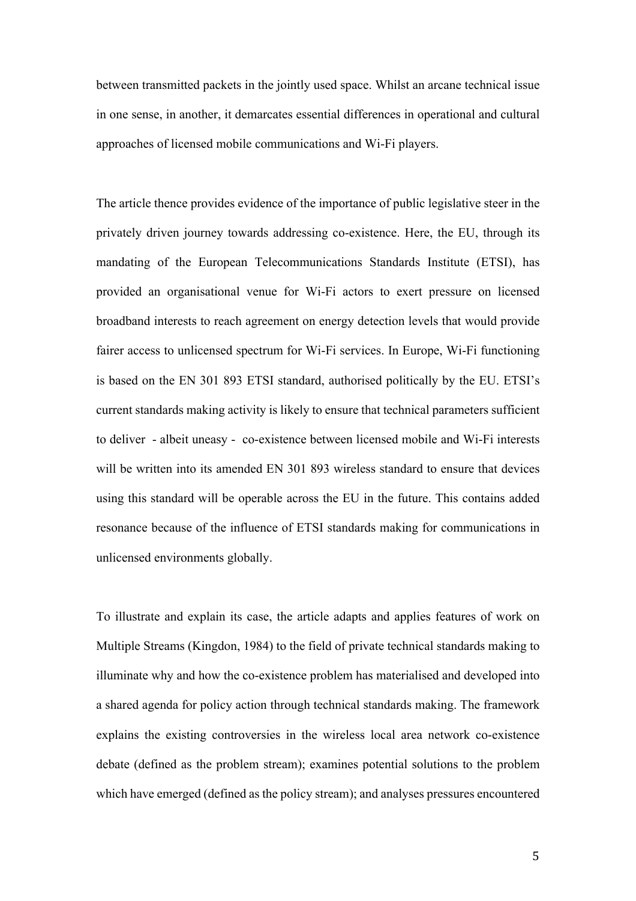between transmitted packets in the jointly used space. Whilst an arcane technical issue in one sense, in another, it demarcates essential differences in operational and cultural approaches of licensed mobile communications and Wi-Fi players.

The article thence provides evidence of the importance of public legislative steer in the privately driven journey towards addressing co-existence. Here, the EU, through its mandating of the European Telecommunications Standards Institute (ETSI), has provided an organisational venue for Wi-Fi actors to exert pressure on licensed broadband interests to reach agreement on energy detection levels that would provide fairer access to unlicensed spectrum for Wi-Fi services. In Europe, Wi-Fi functioning is based on the EN 301 893 ETSI standard, authorised politically by the EU. ETSI's current standards making activity is likely to ensure that technical parameters sufficient to deliver - albeit uneasy - co-existence between licensed mobile and Wi-Fi interests will be written into its amended EN 301 893 wireless standard to ensure that devices using this standard will be operable across the EU in the future. This contains added resonance because of the influence of ETSI standards making for communications in unlicensed environments globally.

To illustrate and explain its case, the article adapts and applies features of work on Multiple Streams (Kingdon, 1984) to the field of private technical standards making to illuminate why and how the co-existence problem has materialised and developed into a shared agenda for policy action through technical standards making. The framework explains the existing controversies in the wireless local area network co-existence debate (defined as the problem stream); examines potential solutions to the problem which have emerged (defined as the policy stream); and analyses pressures encountered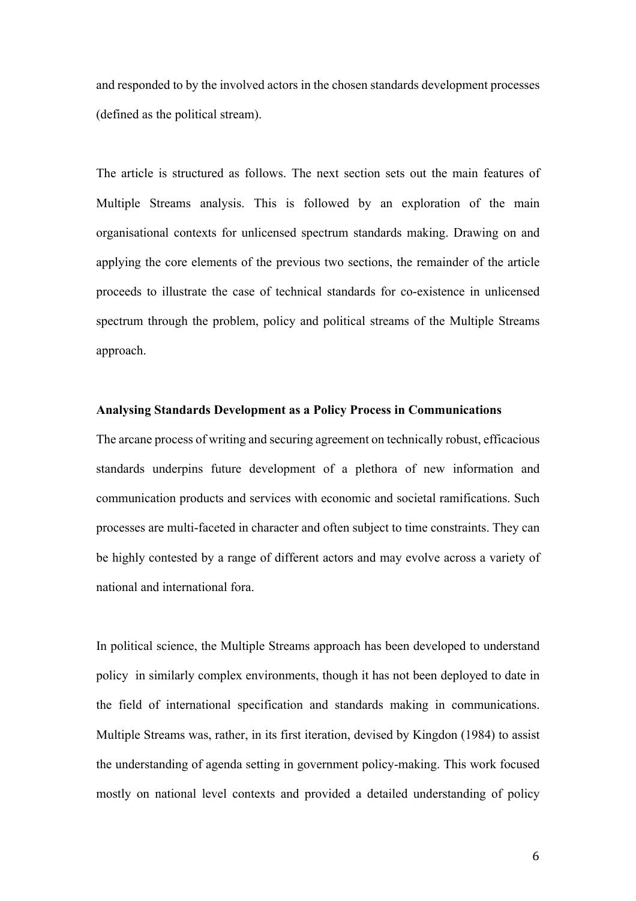and responded to by the involved actors in the chosen standards development processes (defined as the political stream).

The article is structured as follows. The next section sets out the main features of Multiple Streams analysis. This is followed by an exploration of the main organisational contexts for unlicensed spectrum standards making. Drawing on and applying the core elements of the previous two sections, the remainder of the article proceeds to illustrate the case of technical standards for co-existence in unlicensed spectrum through the problem, policy and political streams of the Multiple Streams approach.

### **Analysing Standards Development as a Policy Process in Communications**

The arcane process of writing and securing agreement on technically robust, efficacious standards underpins future development of a plethora of new information and communication products and services with economic and societal ramifications. Such processes are multi-faceted in character and often subject to time constraints. They can be highly contested by a range of different actors and may evolve across a variety of national and international fora.

In political science, the Multiple Streams approach has been developed to understand policy in similarly complex environments, though it has not been deployed to date in the field of international specification and standards making in communications. Multiple Streams was, rather, in its first iteration, devised by Kingdon (1984) to assist the understanding of agenda setting in government policy-making. This work focused mostly on national level contexts and provided a detailed understanding of policy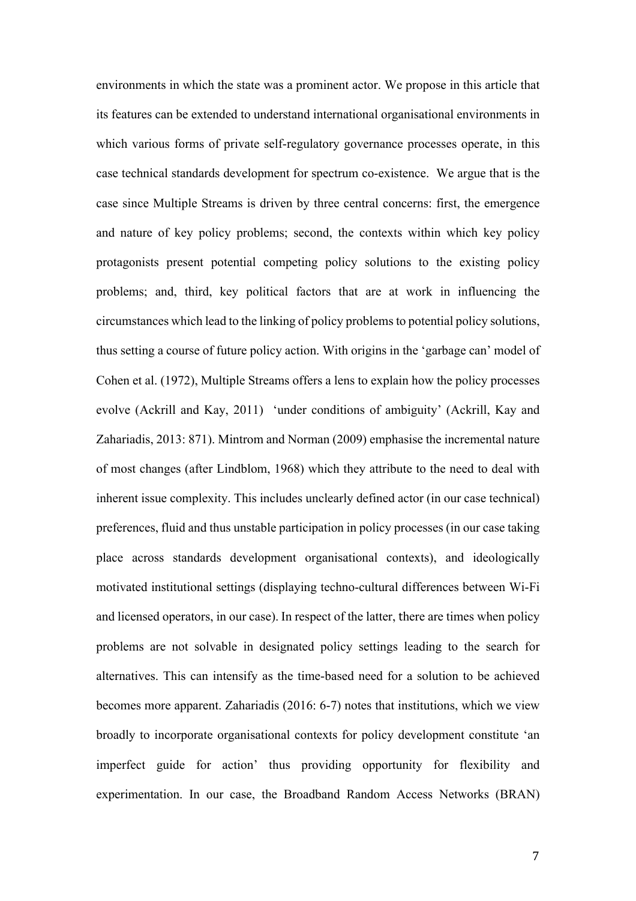environments in which the state was a prominent actor. We propose in this article that its features can be extended to understand international organisational environments in which various forms of private self-regulatory governance processes operate, in this case technical standards development for spectrum co-existence. We argue that is the case since Multiple Streams is driven by three central concerns: first, the emergence and nature of key policy problems; second, the contexts within which key policy protagonists present potential competing policy solutions to the existing policy problems; and, third, key political factors that are at work in influencing the circumstances which lead to the linking of policy problems to potential policy solutions, thus setting a course of future policy action. With origins in the 'garbage can' model of Cohen et al. (1972), Multiple Streams offers a lens to explain how the policy processes evolve (Ackrill and Kay, 2011) 'under conditions of ambiguity' (Ackrill, Kay and Zahariadis, 2013: 871). Mintrom and Norman (2009) emphasise the incremental nature of most changes (after Lindblom, 1968) which they attribute to the need to deal with inherent issue complexity. This includes unclearly defined actor (in our case technical) preferences, fluid and thus unstable participation in policy processes (in our case taking place across standards development organisational contexts), and ideologically motivated institutional settings (displaying techno-cultural differences between Wi-Fi and licensed operators, in our case). In respect of the latter, there are times when policy problems are not solvable in designated policy settings leading to the search for alternatives. This can intensify as the time-based need for a solution to be achieved becomes more apparent. Zahariadis (2016: 6-7) notes that institutions, which we view broadly to incorporate organisational contexts for policy development constitute 'an imperfect guide for action' thus providing opportunity for flexibility and experimentation. In our case, the Broadband Random Access Networks (BRAN)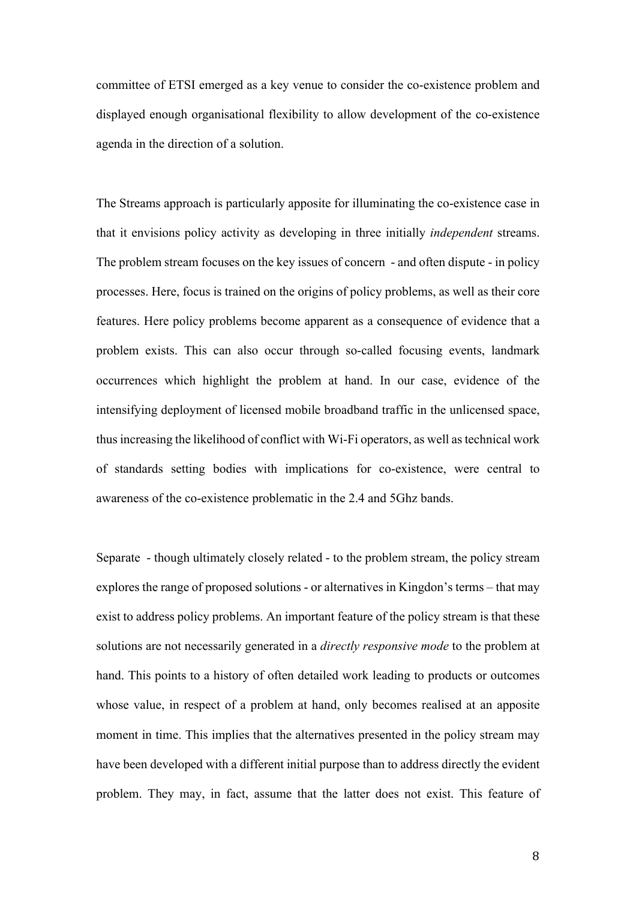committee of ETSI emerged as a key venue to consider the co-existence problem and displayed enough organisational flexibility to allow development of the co-existence agenda in the direction of a solution.

The Streams approach is particularly apposite for illuminating the co-existence case in that it envisions policy activity as developing in three initially *independent* streams. The problem stream focuses on the key issues of concern - and often dispute - in policy processes. Here, focus is trained on the origins of policy problems, as well as their core features. Here policy problems become apparent as a consequence of evidence that a problem exists. This can also occur through so-called focusing events, landmark occurrences which highlight the problem at hand. In our case, evidence of the intensifying deployment of licensed mobile broadband traffic in the unlicensed space, thus increasing the likelihood of conflict with Wi-Fi operators, as well as technical work of standards setting bodies with implications for co-existence, were central to awareness of the co-existence problematic in the 2.4 and 5Ghz bands.

Separate - though ultimately closely related - to the problem stream, the policy stream explores the range of proposed solutions - or alternatives in Kingdon's terms – that may exist to address policy problems. An important feature of the policy stream is that these solutions are not necessarily generated in a *directly responsive mode* to the problem at hand. This points to a history of often detailed work leading to products or outcomes whose value, in respect of a problem at hand, only becomes realised at an apposite moment in time. This implies that the alternatives presented in the policy stream may have been developed with a different initial purpose than to address directly the evident problem. They may, in fact, assume that the latter does not exist. This feature of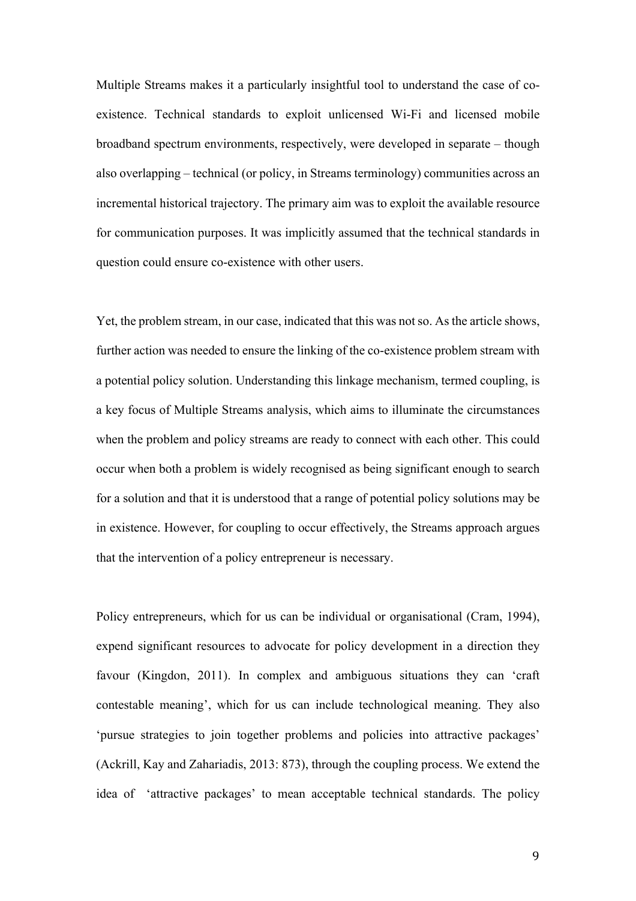Multiple Streams makes it a particularly insightful tool to understand the case of coexistence. Technical standards to exploit unlicensed Wi-Fi and licensed mobile broadband spectrum environments, respectively, were developed in separate – though also overlapping – technical (or policy, in Streams terminology) communities across an incremental historical trajectory. The primary aim was to exploit the available resource for communication purposes. It was implicitly assumed that the technical standards in question could ensure co-existence with other users.

Yet, the problem stream, in our case, indicated that this was not so. As the article shows, further action was needed to ensure the linking of the co-existence problem stream with a potential policy solution. Understanding this linkage mechanism, termed coupling, is a key focus of Multiple Streams analysis, which aims to illuminate the circumstances when the problem and policy streams are ready to connect with each other. This could occur when both a problem is widely recognised as being significant enough to search for a solution and that it is understood that a range of potential policy solutions may be in existence. However, for coupling to occur effectively, the Streams approach argues that the intervention of a policy entrepreneur is necessary.

Policy entrepreneurs, which for us can be individual or organisational (Cram, 1994), expend significant resources to advocate for policy development in a direction they favour (Kingdon, 2011). In complex and ambiguous situations they can 'craft contestable meaning', which for us can include technological meaning. They also 'pursue strategies to join together problems and policies into attractive packages' (Ackrill, Kay and Zahariadis, 2013: 873), through the coupling process. We extend the idea of 'attractive packages' to mean acceptable technical standards. The policy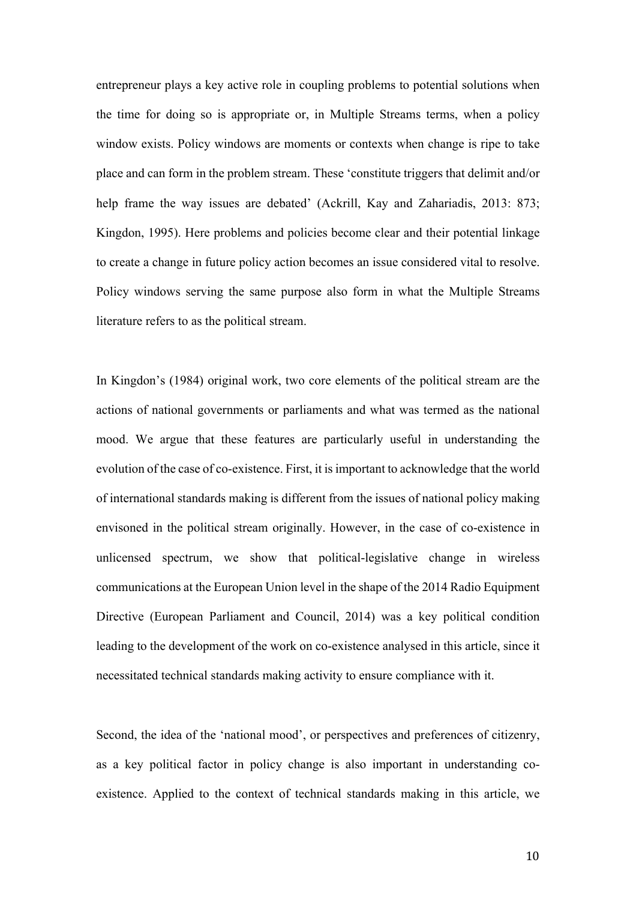entrepreneur plays a key active role in coupling problems to potential solutions when the time for doing so is appropriate or, in Multiple Streams terms, when a policy window exists. Policy windows are moments or contexts when change is ripe to take place and can form in the problem stream. These 'constitute triggers that delimit and/or help frame the way issues are debated' (Ackrill, Kay and Zahariadis, 2013: 873; Kingdon, 1995). Here problems and policies become clear and their potential linkage to create a change in future policy action becomes an issue considered vital to resolve. Policy windows serving the same purpose also form in what the Multiple Streams literature refers to as the political stream.

In Kingdon's (1984) original work, two core elements of the political stream are the actions of national governments or parliaments and what was termed as the national mood. We argue that these features are particularly useful in understanding the evolution of the case of co-existence. First, it is important to acknowledge that the world of international standards making is different from the issues of national policy making envisoned in the political stream originally. However, in the case of co-existence in unlicensed spectrum, we show that political-legislative change in wireless communications at the European Union level in the shape of the 2014 Radio Equipment Directive (European Parliament and Council, 2014) was a key political condition leading to the development of the work on co-existence analysed in this article, since it necessitated technical standards making activity to ensure compliance with it.

Second, the idea of the 'national mood', or perspectives and preferences of citizenry, as a key political factor in policy change is also important in understanding coexistence. Applied to the context of technical standards making in this article, we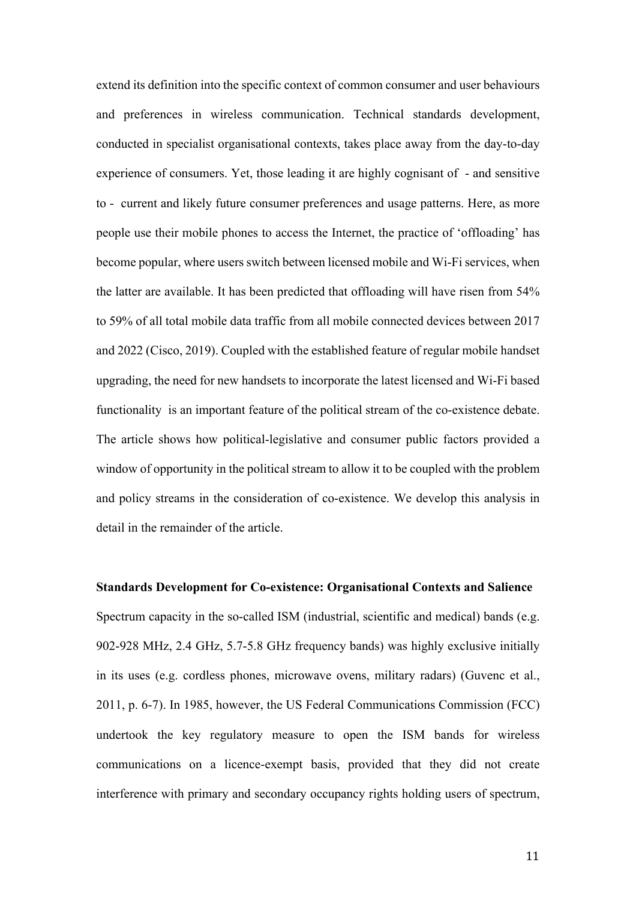extend its definition into the specific context of common consumer and user behaviours and preferences in wireless communication. Technical standards development, conducted in specialist organisational contexts, takes place away from the day-to-day experience of consumers. Yet, those leading it are highly cognisant of - and sensitive to - current and likely future consumer preferences and usage patterns. Here, as more people use their mobile phones to access the Internet, the practice of 'offloading' has become popular, where users switch between licensed mobile and Wi-Fi services, when the latter are available. It has been predicted that offloading will have risen from 54% to 59% of all total mobile data traffic from all mobile connected devices between 2017 and 2022 (Cisco, 2019). Coupled with the established feature of regular mobile handset upgrading, the need for new handsets to incorporate the latest licensed and Wi-Fi based functionality is an important feature of the political stream of the co-existence debate. The article shows how political-legislative and consumer public factors provided a window of opportunity in the political stream to allow it to be coupled with the problem and policy streams in the consideration of co-existence. We develop this analysis in detail in the remainder of the article.

#### **Standards Development for Co-existence: Organisational Contexts and Salience**

Spectrum capacity in the so-called ISM (industrial, scientific and medical) bands (e.g. 902-928 MHz, 2.4 GHz, 5.7-5.8 GHz frequency bands) was highly exclusive initially in its uses (e.g. cordless phones, microwave ovens, military radars) (Guvenc et al., 2011, p. 6-7). In 1985, however, the US Federal Communications Commission (FCC) undertook the key regulatory measure to open the ISM bands for wireless communications on a licence-exempt basis, provided that they did not create interference with primary and secondary occupancy rights holding users of spectrum,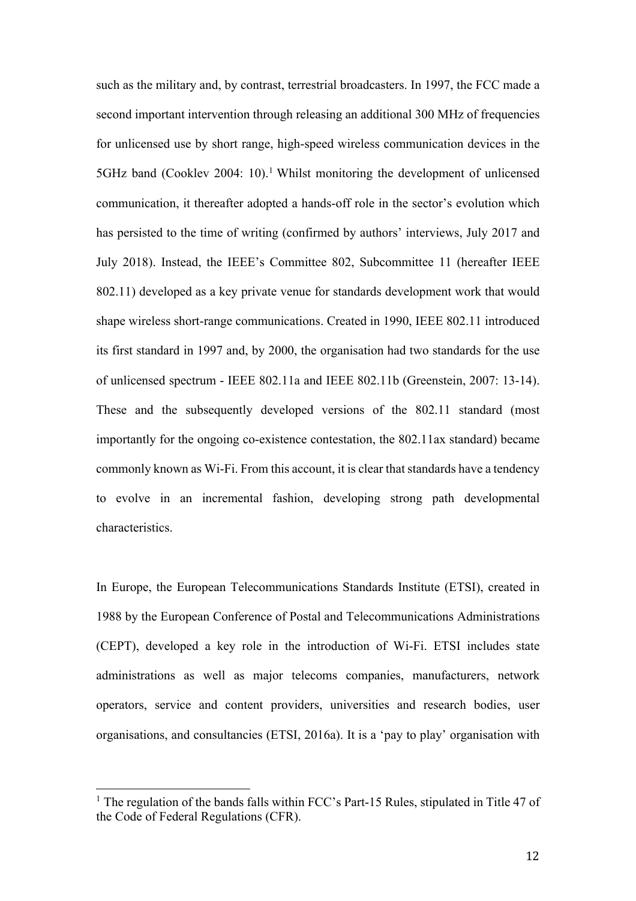such as the military and, by contrast, terrestrial broadcasters. In 1997, the FCC made a second important intervention through releasing an additional 300 MHz of frequencies for unlicensed use by short range, high-speed wireless communication devices in the 5GHz band (Cooklev 2004: 10).<sup>1</sup> Whilst monitoring the development of unlicensed communication, it thereafter adopted a hands-off role in the sector's evolution which has persisted to the time of writing (confirmed by authors' interviews, July 2017 and July 2018). Instead, the IEEE's Committee 802, Subcommittee 11 (hereafter IEEE 802.11) developed as a key private venue for standards development work that would shape wireless short-range communications. Created in 1990, IEEE 802.11 introduced its first standard in 1997 and, by 2000, the organisation had two standards for the use of unlicensed spectrum - IEEE 802.11a and IEEE 802.11b (Greenstein, 2007: 13-14). These and the subsequently developed versions of the 802.11 standard (most importantly for the ongoing co-existence contestation, the 802.11ax standard) became commonly known as Wi-Fi. From this account, it is clear that standards have a tendency to evolve in an incremental fashion, developing strong path developmental characteristics.

In Europe, the European Telecommunications Standards Institute (ETSI), created in 1988 by the European Conference of Postal and Telecommunications Administrations (CEPT), developed a key role in the introduction of Wi-Fi. ETSI includes state administrations as well as major telecoms companies, manufacturers, network operators, service and content providers, universities and research bodies, user organisations, and consultancies (ETSI, 2016a). It is a 'pay to play' organisation with

 

<sup>&</sup>lt;sup>1</sup> The regulation of the bands falls within FCC's Part-15 Rules, stipulated in Title 47 of the Code of Federal Regulations (CFR).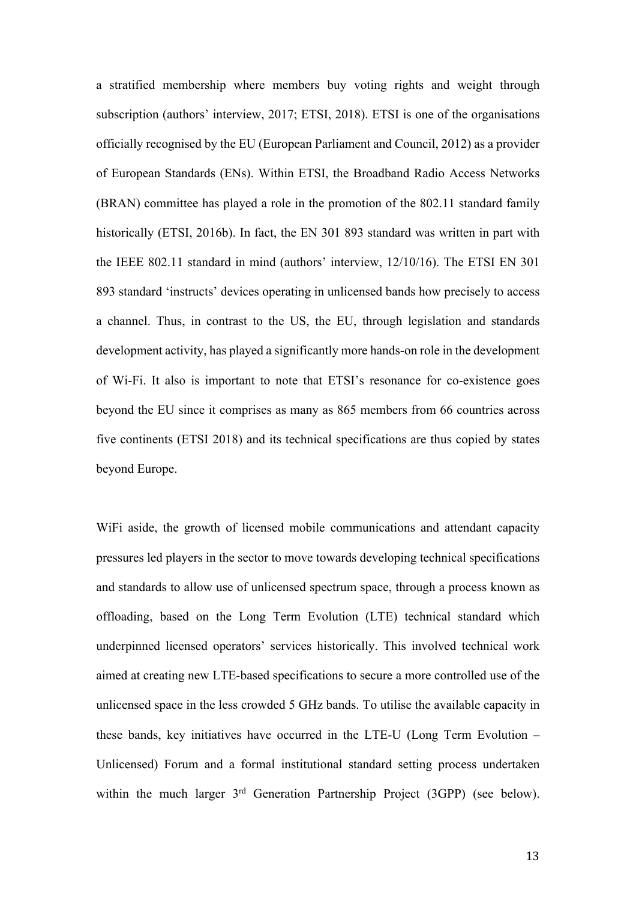a stratified membership where members buy voting rights and weight through subscription (authors' interview, 2017; ETSI, 2018). ETSI is one of the organisations officially recognised by the EU (European Parliament and Council, 2012) as a provider of European Standards (ENs). Within ETSI, the Broadband Radio Access Networks (BRAN) committee has played a role in the promotion of the 802.11 standard family historically (ETSI, 2016b). In fact, the EN 301 893 standard was written in part with the IEEE 802.11 standard in mind (authors' interview, 12/10/16). The ETSI EN 301 893 standard 'instructs' devices operating in unlicensed bands how precisely to access a channel. Thus, in contrast to the US, the EU, through legislation and standards development activity, has played a significantly more hands-on role in the development of Wi-Fi. It also is important to note that ETSI's resonance for co-existence goes beyond the EU since it comprises as many as 865 members from 66 countries across five continents (ETSI 2018) and its technical specifications are thus copied by states beyond Europe.

WiFi aside, the growth of licensed mobile communications and attendant capacity pressures led players in the sector to move towards developing technical specifications and standards to allow use of unlicensed spectrum space, through a process known as offloading, based on the Long Term Evolution (LTE) technical standard which underpinned licensed operators' services historically. This involved technical work aimed at creating new LTE-based specifications to secure a more controlled use of the unlicensed space in the less crowded 5 GHz bands. To utilise the available capacity in these bands, key initiatives have occurred in the LTE-U (Long Term Evolution – Unlicensed) Forum and a formal institutional standard setting process undertaken within the much larger 3rd Generation Partnership Project (3GPP) (see below).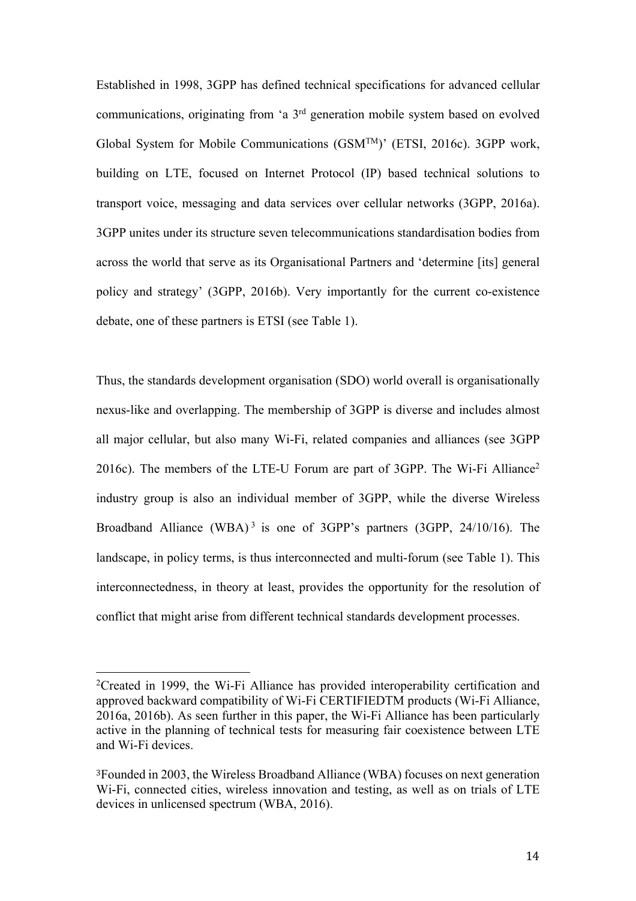Established in 1998, 3GPP has defined technical specifications for advanced cellular communications, originating from 'a 3rd generation mobile system based on evolved Global System for Mobile Communications (GSMTM)' (ETSI, 2016c). 3GPP work, building on LTE, focused on Internet Protocol (IP) based technical solutions to transport voice, messaging and data services over cellular networks (3GPP, 2016a). 3GPP unites under its structure seven telecommunications standardisation bodies from across the world that serve as its Organisational Partners and 'determine [its] general policy and strategy' (3GPP, 2016b). Very importantly for the current co-existence debate, one of these partners is ETSI (see Table 1).

Thus, the standards development organisation (SDO) world overall is organisationally nexus-like and overlapping. The membership of 3GPP is diverse and includes almost all major cellular, but also many Wi-Fi, related companies and alliances (see 3GPP 2016c). The members of the LTE-U Forum are part of 3GPP. The Wi-Fi Alliance<sup>2</sup> industry group is also an individual member of 3GPP, while the diverse Wireless Broadband Alliance (WBA)<sup>3</sup> is one of 3GPP's partners (3GPP, 24/10/16). The landscape, in policy terms, is thus interconnected and multi-forum (see Table 1). This interconnectedness, in theory at least, provides the opportunity for the resolution of conflict that might arise from different technical standards development processes.

 

<sup>&</sup>lt;sup>2</sup>Created in 1999, the Wi-Fi Alliance has provided interoperability certification and approved backward compatibility of Wi-Fi CERTIFIEDTM products (Wi-Fi Alliance, 2016a, 2016b). As seen further in this paper, the Wi-Fi Alliance has been particularly active in the planning of technical tests for measuring fair coexistence between LTE and Wi-Fi devices.

<sup>3</sup>Founded in 2003, the Wireless Broadband Alliance (WBA) focuses on next generation Wi-Fi, connected cities, wireless innovation and testing, as well as on trials of LTE devices in unlicensed spectrum (WBA, 2016).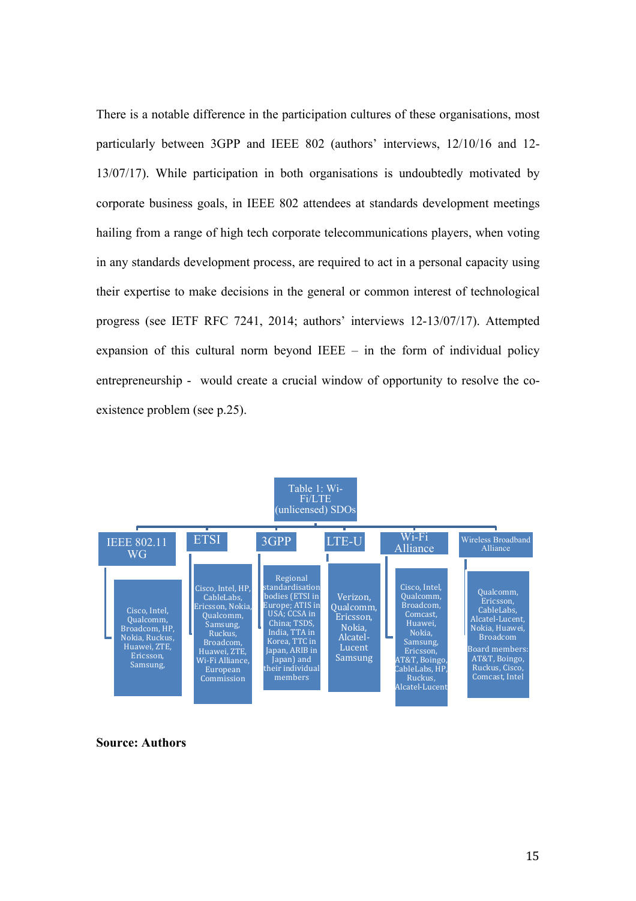There is a notable difference in the participation cultures of these organisations, most particularly between 3GPP and IEEE 802 (authors' interviews, 12/10/16 and 12- 13/07/17). While participation in both organisations is undoubtedly motivated by corporate business goals, in IEEE 802 attendees at standards development meetings hailing from a range of high tech corporate telecommunications players, when voting in any standards development process, are required to act in a personal capacity using their expertise to make decisions in the general or common interest of technological progress (see IETF RFC 7241, 2014; authors' interviews 12-13/07/17). Attempted expansion of this cultural norm beyond IEEE  $-$  in the form of individual policy entrepreneurship - would create a crucial window of opportunity to resolve the coexistence problem (see p.25).



**Source: Authors**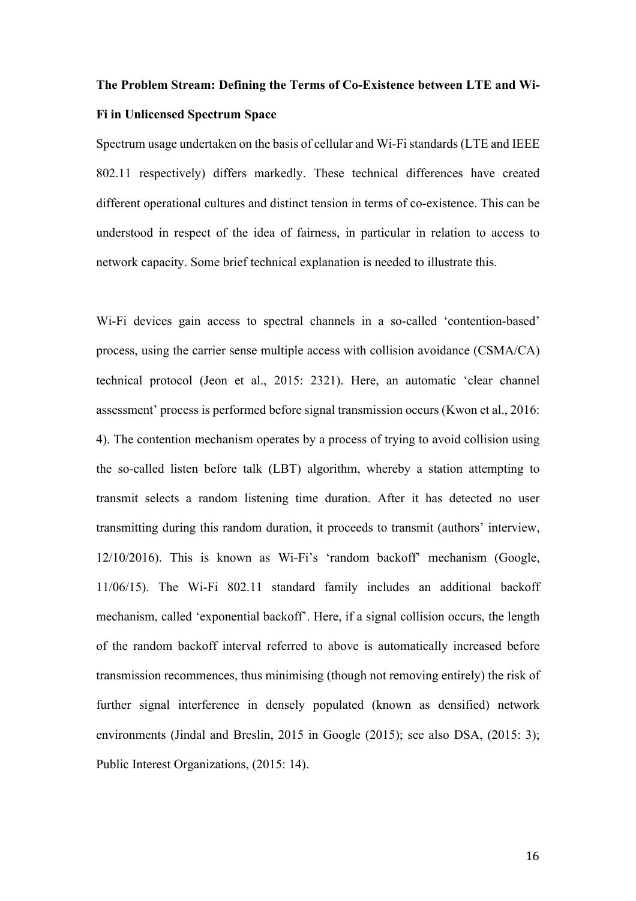## **The Problem Stream: Defining the Terms of Co-Existence between LTE and Wi-Fi in Unlicensed Spectrum Space**

Spectrum usage undertaken on the basis of cellular and Wi-Fi standards (LTE and IEEE 802.11 respectively) differs markedly. These technical differences have created different operational cultures and distinct tension in terms of co-existence. This can be understood in respect of the idea of fairness, in particular in relation to access to network capacity. Some brief technical explanation is needed to illustrate this.

Wi-Fi devices gain access to spectral channels in a so-called 'contention-based' process, using the carrier sense multiple access with collision avoidance (CSMA/CA) technical protocol (Jeon et al., 2015: 2321). Here, an automatic 'clear channel assessment' process is performed before signal transmission occurs (Kwon et al., 2016: 4). The contention mechanism operates by a process of trying to avoid collision using the so-called listen before talk (LBT) algorithm, whereby a station attempting to transmit selects a random listening time duration. After it has detected no user transmitting during this random duration, it proceeds to transmit (authors' interview, 12/10/2016). This is known as Wi-Fi's 'random backoff' mechanism (Google, 11/06/15). The Wi-Fi 802.11 standard family includes an additional backoff mechanism, called 'exponential backoff'. Here, if a signal collision occurs, the length of the random backoff interval referred to above is automatically increased before transmission recommences, thus minimising (though not removing entirely) the risk of further signal interference in densely populated (known as densified) network environments (Jindal and Breslin, 2015 in Google (2015); see also DSA, (2015: 3); Public Interest Organizations, (2015: 14).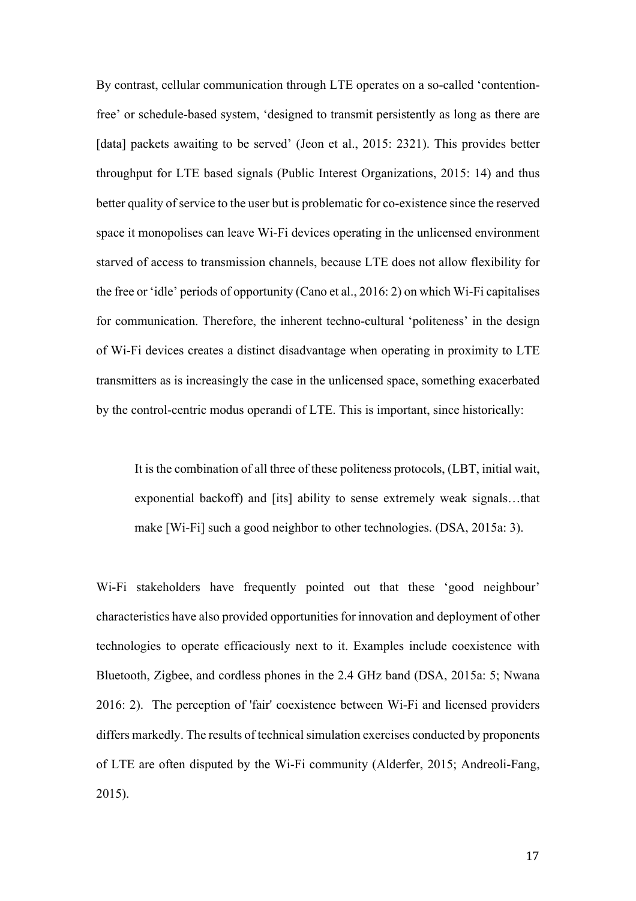By contrast, cellular communication through LTE operates on a so-called 'contentionfree' or schedule-based system, 'designed to transmit persistently as long as there are [data] packets awaiting to be served' (Jeon et al., 2015: 2321). This provides better throughput for LTE based signals (Public Interest Organizations, 2015: 14) and thus better quality of service to the user but is problematic for co-existence since the reserved space it monopolises can leave Wi-Fi devices operating in the unlicensed environment starved of access to transmission channels, because LTE does not allow flexibility for the free or 'idle' periods of opportunity (Cano et al., 2016: 2) on which Wi-Fi capitalises for communication. Therefore, the inherent techno-cultural 'politeness' in the design of Wi-Fi devices creates a distinct disadvantage when operating in proximity to LTE transmitters as is increasingly the case in the unlicensed space, something exacerbated by the control-centric modus operandi of LTE. This is important, since historically:

It is the combination of all three of these politeness protocols, (LBT, initial wait, exponential backoff) and [its] ability to sense extremely weak signals…that make [Wi-Fi] such a good neighbor to other technologies. (DSA, 2015a: 3).

Wi-Fi stakeholders have frequently pointed out that these 'good neighbour' characteristics have also provided opportunities for innovation and deployment of other technologies to operate efficaciously next to it. Examples include coexistence with Bluetooth, Zigbee, and cordless phones in the 2.4 GHz band (DSA, 2015a: 5; Nwana 2016: 2). The perception of 'fair' coexistence between Wi-Fi and licensed providers differs markedly. The results of technical simulation exercises conducted by proponents of LTE are often disputed by the Wi-Fi community (Alderfer, 2015; Andreoli-Fang, 2015).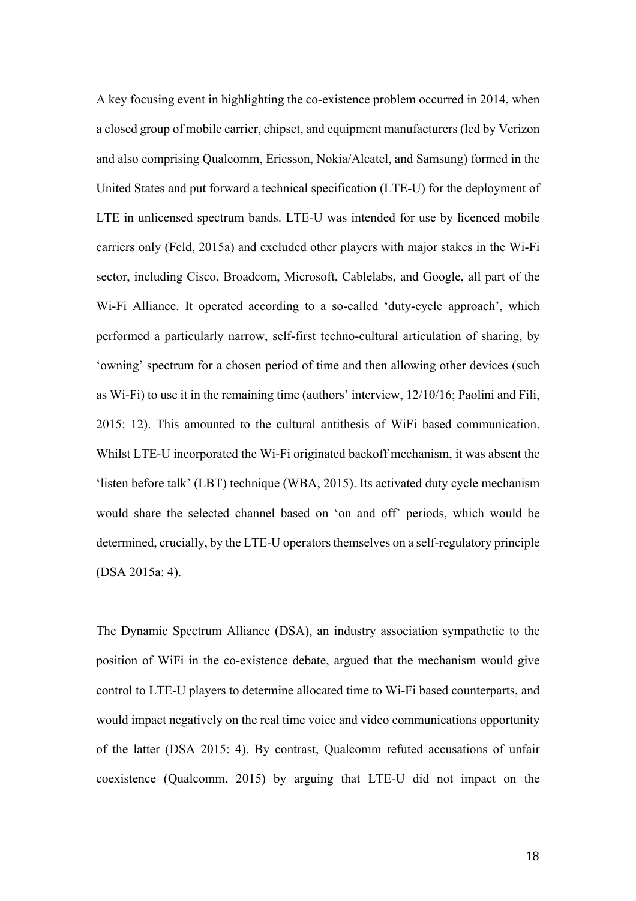A key focusing event in highlighting the co-existence problem occurred in 2014, when a closed group of mobile carrier, chipset, and equipment manufacturers (led by Verizon and also comprising Qualcomm, Ericsson, Nokia/Alcatel, and Samsung) formed in the United States and put forward a technical specification (LTE-U) for the deployment of LTE in unlicensed spectrum bands. LTE-U was intended for use by licenced mobile carriers only (Feld, 2015a) and excluded other players with major stakes in the Wi-Fi sector, including Cisco, Broadcom, Microsoft, Cablelabs, and Google, all part of the Wi-Fi Alliance. It operated according to a so-called 'duty-cycle approach', which performed a particularly narrow, self-first techno-cultural articulation of sharing, by 'owning' spectrum for a chosen period of time and then allowing other devices (such as Wi-Fi) to use it in the remaining time (authors' interview, 12/10/16; Paolini and Fili, 2015: 12). This amounted to the cultural antithesis of WiFi based communication. Whilst LTE-U incorporated the Wi-Fi originated backoff mechanism, it was absent the 'listen before talk' (LBT) technique (WBA, 2015). Its activated duty cycle mechanism would share the selected channel based on 'on and off' periods, which would be determined, crucially, by the LTE-U operators themselves on a self-regulatory principle (DSA 2015a: 4).

The Dynamic Spectrum Alliance (DSA), an industry association sympathetic to the position of WiFi in the co-existence debate, argued that the mechanism would give control to LTE-U players to determine allocated time to Wi-Fi based counterparts, and would impact negatively on the real time voice and video communications opportunity of the latter (DSA 2015: 4). By contrast, Qualcomm refuted accusations of unfair coexistence (Qualcomm, 2015) by arguing that LTE-U did not impact on the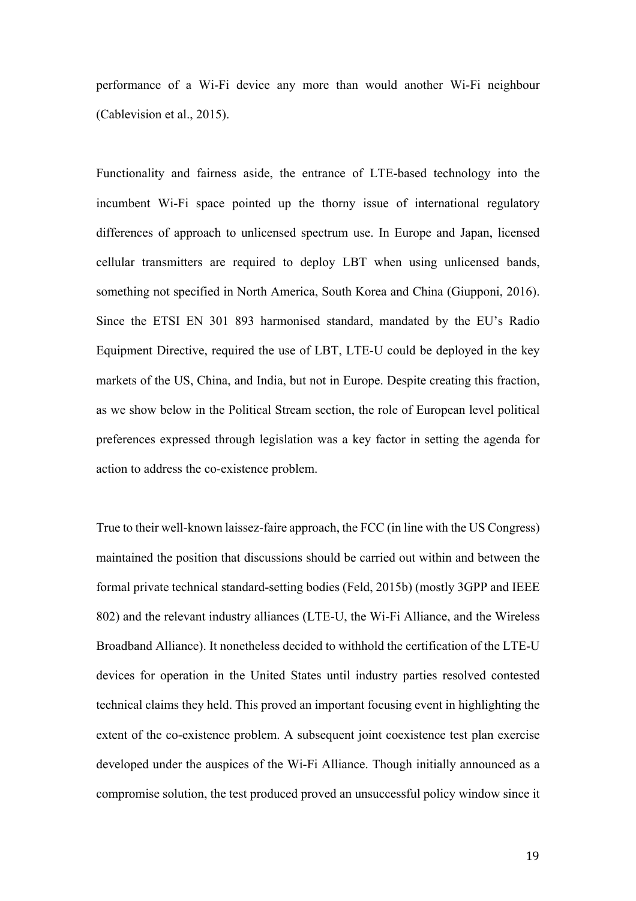performance of a Wi-Fi device any more than would another Wi-Fi neighbour (Cablevision et al., 2015).

Functionality and fairness aside, the entrance of LTE-based technology into the incumbent Wi-Fi space pointed up the thorny issue of international regulatory differences of approach to unlicensed spectrum use. In Europe and Japan, licensed cellular transmitters are required to deploy LBT when using unlicensed bands, something not specified in North America, South Korea and China (Giupponi, 2016). Since the ETSI EN 301 893 harmonised standard, mandated by the EU's Radio Equipment Directive, required the use of LBT, LTE-U could be deployed in the key markets of the US, China, and India, but not in Europe. Despite creating this fraction, as we show below in the Political Stream section, the role of European level political preferences expressed through legislation was a key factor in setting the agenda for action to address the co-existence problem.

True to their well-known laissez-faire approach, the FCC (in line with the US Congress) maintained the position that discussions should be carried out within and between the formal private technical standard-setting bodies (Feld, 2015b) (mostly 3GPP and IEEE 802) and the relevant industry alliances (LTE-U, the Wi-Fi Alliance, and the Wireless Broadband Alliance). It nonetheless decided to withhold the certification of the LTE-U devices for operation in the United States until industry parties resolved contested technical claims they held. This proved an important focusing event in highlighting the extent of the co-existence problem. A subsequent joint coexistence test plan exercise developed under the auspices of the Wi-Fi Alliance. Though initially announced as a compromise solution, the test produced proved an unsuccessful policy window since it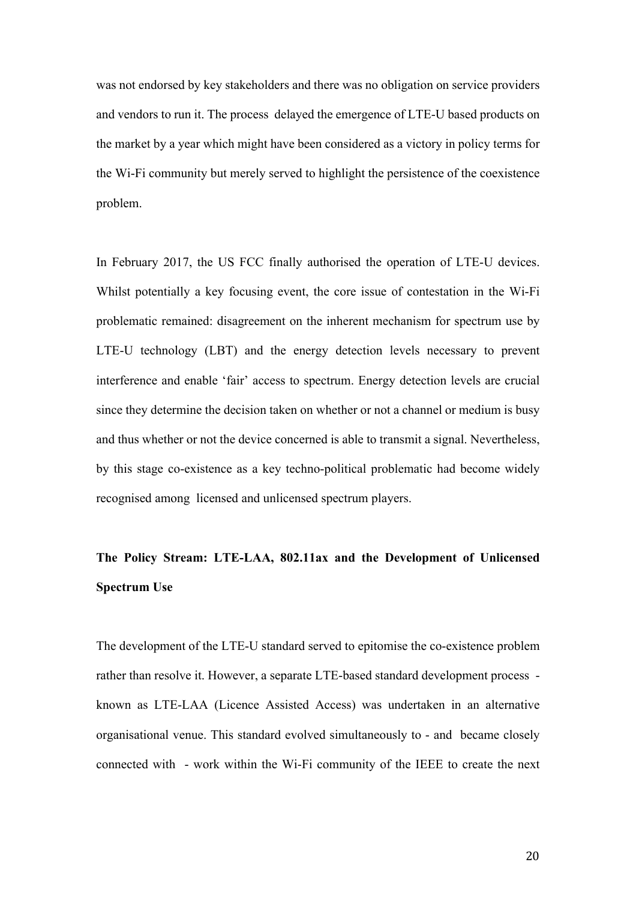was not endorsed by key stakeholders and there was no obligation on service providers and vendors to run it. The process delayed the emergence of LTE-U based products on the market by a year which might have been considered as a victory in policy terms for the Wi-Fi community but merely served to highlight the persistence of the coexistence problem.

In February 2017, the US FCC finally authorised the operation of LTE-U devices. Whilst potentially a key focusing event, the core issue of contestation in the Wi-Fi problematic remained: disagreement on the inherent mechanism for spectrum use by LTE-U technology (LBT) and the energy detection levels necessary to prevent interference and enable 'fair' access to spectrum. Energy detection levels are crucial since they determine the decision taken on whether or not a channel or medium is busy and thus whether or not the device concerned is able to transmit a signal. Nevertheless, by this stage co-existence as a key techno-political problematic had become widely recognised among licensed and unlicensed spectrum players.

## **The Policy Stream: LTE-LAA, 802.11ax and the Development of Unlicensed Spectrum Use**

The development of the LTE-U standard served to epitomise the co-existence problem rather than resolve it. However, a separate LTE-based standard development process known as LTE-LAA (Licence Assisted Access) was undertaken in an alternative organisational venue. This standard evolved simultaneously to - and became closely connected with - work within the Wi-Fi community of the IEEE to create the next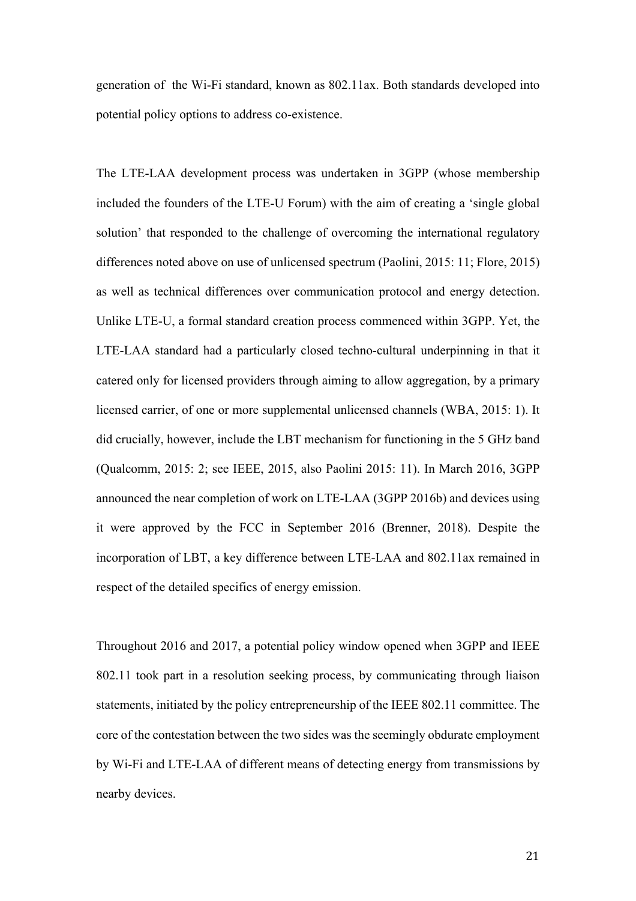generation of the Wi-Fi standard, known as 802.11ax. Both standards developed into potential policy options to address co-existence.

The LTE-LAA development process was undertaken in 3GPP (whose membership included the founders of the LTE-U Forum) with the aim of creating a 'single global solution' that responded to the challenge of overcoming the international regulatory differences noted above on use of unlicensed spectrum (Paolini, 2015: 11; Flore, 2015) as well as technical differences over communication protocol and energy detection. Unlike LTE-U, a formal standard creation process commenced within 3GPP. Yet, the LTE-LAA standard had a particularly closed techno-cultural underpinning in that it catered only for licensed providers through aiming to allow aggregation, by a primary licensed carrier, of one or more supplemental unlicensed channels (WBA, 2015: 1). It did crucially, however, include the LBT mechanism for functioning in the 5 GHz band (Qualcomm, 2015: 2; see IEEE, 2015, also Paolini 2015: 11). In March 2016, 3GPP announced the near completion of work on LTE-LAA (3GPP 2016b) and devices using it were approved by the FCC in September 2016 (Brenner, 2018). Despite the incorporation of LBT, a key difference between LTE-LAA and 802.11ax remained in respect of the detailed specifics of energy emission.

Throughout 2016 and 2017, a potential policy window opened when 3GPP and IEEE 802.11 took part in a resolution seeking process, by communicating through liaison statements, initiated by the policy entrepreneurship of the IEEE 802.11 committee. The core of the contestation between the two sides was the seemingly obdurate employment by Wi-Fi and LTE-LAA of different means of detecting energy from transmissions by nearby devices.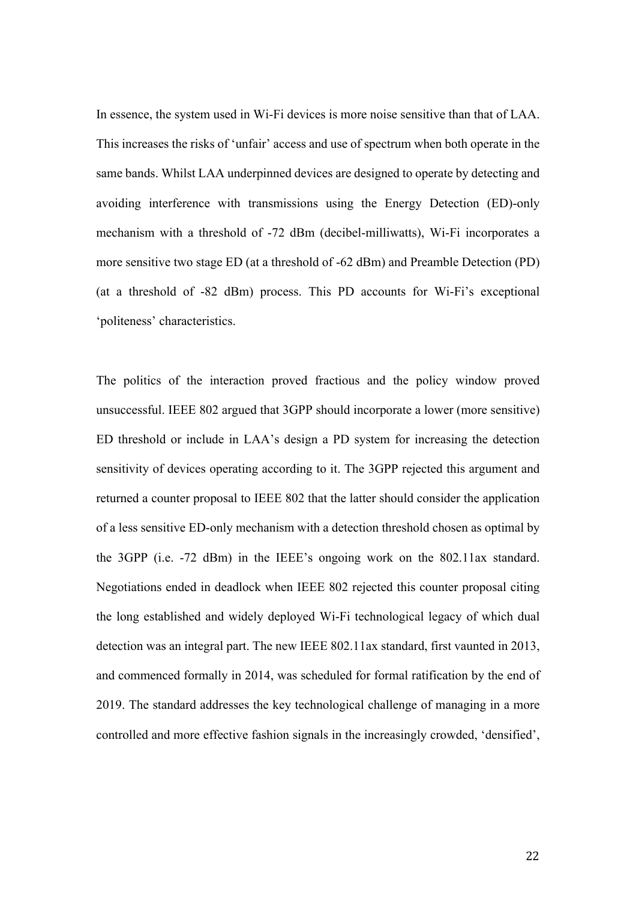In essence, the system used in Wi-Fi devices is more noise sensitive than that of LAA. This increases the risks of 'unfair' access and use of spectrum when both operate in the same bands. Whilst LAA underpinned devices are designed to operate by detecting and avoiding interference with transmissions using the Energy Detection (ED)-only mechanism with a threshold of -72 dBm (decibel-milliwatts), Wi-Fi incorporates a more sensitive two stage ED (at a threshold of -62 dBm) and Preamble Detection (PD) (at a threshold of -82 dBm) process. This PD accounts for Wi-Fi's exceptional 'politeness' characteristics.

The politics of the interaction proved fractious and the policy window proved unsuccessful. IEEE 802 argued that 3GPP should incorporate a lower (more sensitive) ED threshold or include in LAA's design a PD system for increasing the detection sensitivity of devices operating according to it. The 3GPP rejected this argument and returned a counter proposal to IEEE 802 that the latter should consider the application of a less sensitive ED-only mechanism with a detection threshold chosen as optimal by the 3GPP (i.e. -72 dBm) in the IEEE's ongoing work on the 802.11ax standard. Negotiations ended in deadlock when IEEE 802 rejected this counter proposal citing the long established and widely deployed Wi-Fi technological legacy of which dual detection was an integral part. The new IEEE 802.11ax standard, first vaunted in 2013, and commenced formally in 2014, was scheduled for formal ratification by the end of 2019. The standard addresses the key technological challenge of managing in a more controlled and more effective fashion signals in the increasingly crowded, 'densified',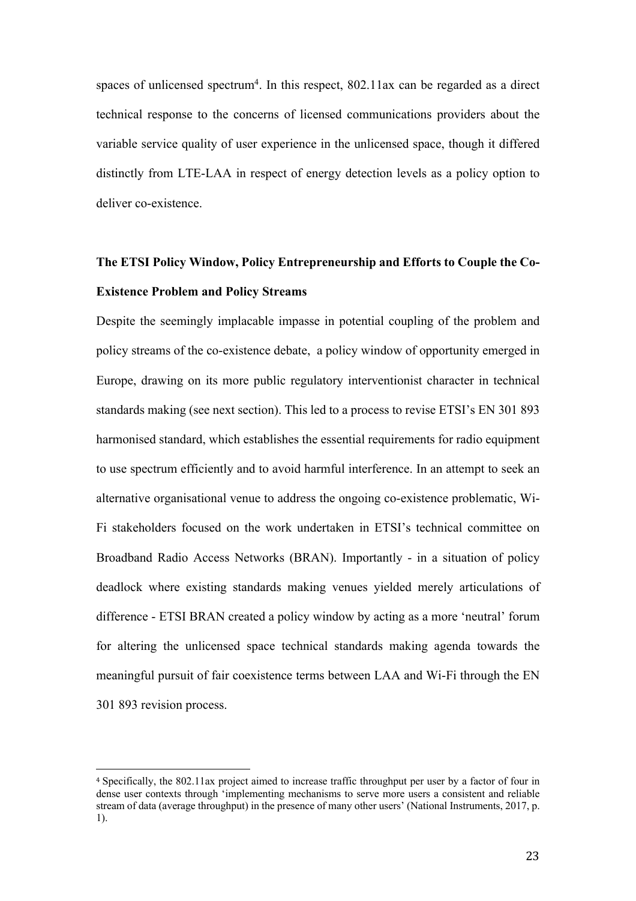spaces of unlicensed spectrum<sup>4</sup>. In this respect,  $802.11$  ax can be regarded as a direct technical response to the concerns of licensed communications providers about the variable service quality of user experience in the unlicensed space, though it differed distinctly from LTE-LAA in respect of energy detection levels as a policy option to deliver co-existence.

### **The ETSI Policy Window, Policy Entrepreneurship and Efforts to Couple the Co-Existence Problem and Policy Streams**

Despite the seemingly implacable impasse in potential coupling of the problem and policy streams of the co-existence debate, a policy window of opportunity emerged in Europe, drawing on its more public regulatory interventionist character in technical standards making (see next section). This led to a process to revise ETSI's EN 301 893 harmonised standard, which establishes the essential requirements for radio equipment to use spectrum efficiently and to avoid harmful interference. In an attempt to seek an alternative organisational venue to address the ongoing co-existence problematic, Wi-Fi stakeholders focused on the work undertaken in ETSI's technical committee on Broadband Radio Access Networks (BRAN). Importantly - in a situation of policy deadlock where existing standards making venues yielded merely articulations of difference - ETSI BRAN created a policy window by acting as a more 'neutral' forum for altering the unlicensed space technical standards making agenda towards the meaningful pursuit of fair coexistence terms between LAA and Wi-Fi through the EN 301 893 revision process.

 

<sup>4</sup> Specifically, the 802.11ax project aimed to increase traffic throughput per user by a factor of four in dense user contexts through 'implementing mechanisms to serve more users a consistent and reliable stream of data (average throughput) in the presence of many other users' (National Instruments, 2017, p. 1).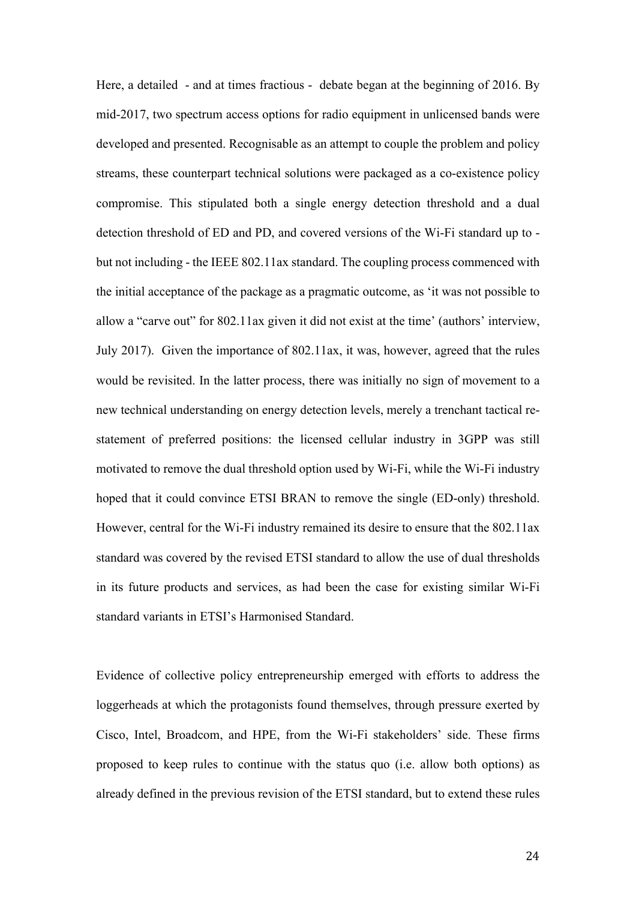Here, a detailed - and at times fractious - debate began at the beginning of 2016. By mid-2017, two spectrum access options for radio equipment in unlicensed bands were developed and presented. Recognisable as an attempt to couple the problem and policy streams, these counterpart technical solutions were packaged as a co-existence policy compromise. This stipulated both a single energy detection threshold and a dual detection threshold of ED and PD, and covered versions of the Wi-Fi standard up to but not including - the IEEE 802.11ax standard. The coupling process commenced with the initial acceptance of the package as a pragmatic outcome, as 'it was not possible to allow a "carve out" for 802.11ax given it did not exist at the time' (authors' interview, July 2017). Given the importance of 802.11ax, it was, however, agreed that the rules would be revisited. In the latter process, there was initially no sign of movement to a new technical understanding on energy detection levels, merely a trenchant tactical restatement of preferred positions: the licensed cellular industry in 3GPP was still motivated to remove the dual threshold option used by Wi-Fi, while the Wi-Fi industry hoped that it could convince ETSI BRAN to remove the single (ED-only) threshold. However, central for the Wi-Fi industry remained its desire to ensure that the 802.11ax standard was covered by the revised ETSI standard to allow the use of dual thresholds in its future products and services, as had been the case for existing similar Wi-Fi standard variants in ETSI's Harmonised Standard.

Evidence of collective policy entrepreneurship emerged with efforts to address the loggerheads at which the protagonists found themselves, through pressure exerted by Cisco, Intel, Broadcom, and HPE, from the Wi-Fi stakeholders' side. These firms proposed to keep rules to continue with the status quo (i.e. allow both options) as already defined in the previous revision of the ETSI standard, but to extend these rules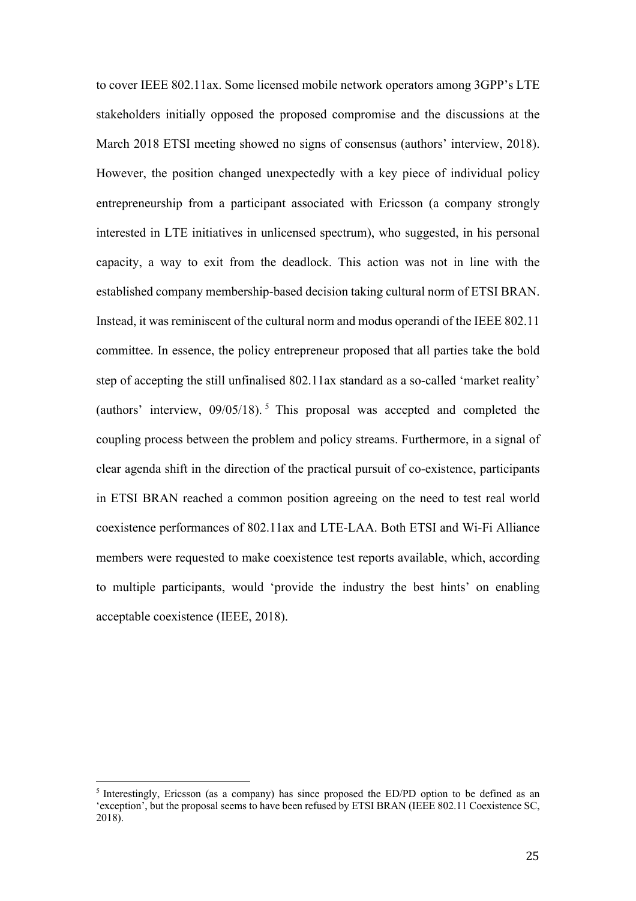to cover IEEE 802.11ax. Some licensed mobile network operators among 3GPP's LTE stakeholders initially opposed the proposed compromise and the discussions at the March 2018 ETSI meeting showed no signs of consensus (authors' interview, 2018). However, the position changed unexpectedly with a key piece of individual policy entrepreneurship from a participant associated with Ericsson (a company strongly interested in LTE initiatives in unlicensed spectrum), who suggested, in his personal capacity, a way to exit from the deadlock. This action was not in line with the established company membership-based decision taking cultural norm of ETSI BRAN. Instead, it was reminiscent of the cultural norm and modus operandi of the IEEE 802.11 committee. In essence, the policy entrepreneur proposed that all parties take the bold step of accepting the still unfinalised 802.11ax standard as a so-called 'market reality' (authors' interview, 09/05/18). <sup>5</sup> This proposal was accepted and completed the coupling process between the problem and policy streams. Furthermore, in a signal of clear agenda shift in the direction of the practical pursuit of co-existence, participants in ETSI BRAN reached a common position agreeing on the need to test real world coexistence performances of 802.11ax and LTE-LAA. Both ETSI and Wi-Fi Alliance members were requested to make coexistence test reports available, which, according to multiple participants, would 'provide the industry the best hints' on enabling acceptable coexistence (IEEE, 2018).

 

<sup>5</sup> Interestingly, Ericsson (as a company) has since proposed the ED/PD option to be defined as an 'exception', but the proposal seems to have been refused by ETSI BRAN (IEEE 802.11 Coexistence SC, 2018).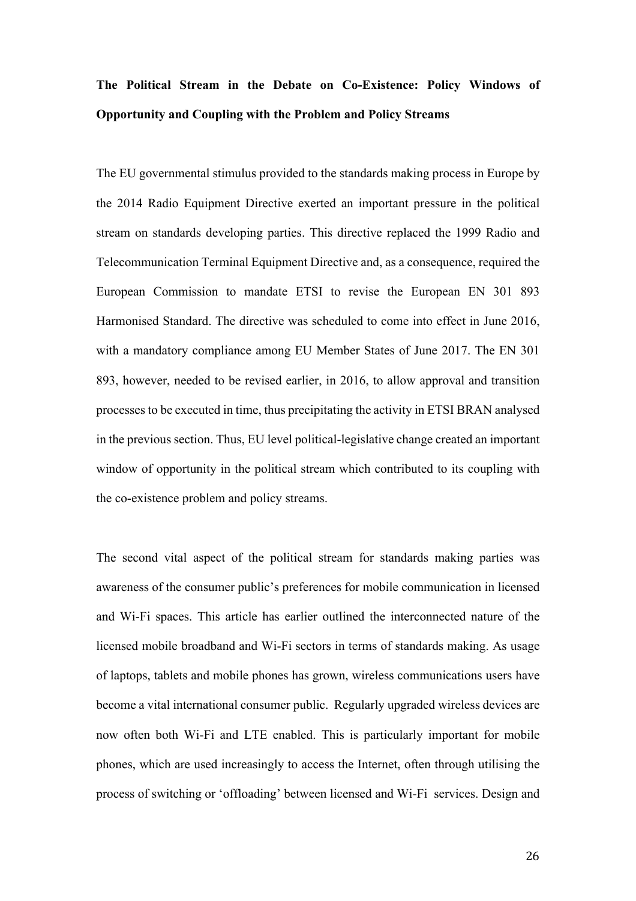## **The Political Stream in the Debate on Co-Existence: Policy Windows of Opportunity and Coupling with the Problem and Policy Streams**

The EU governmental stimulus provided to the standards making process in Europe by the 2014 Radio Equipment Directive exerted an important pressure in the political stream on standards developing parties. This directive replaced the 1999 Radio and Telecommunication Terminal Equipment Directive and, as a consequence, required the European Commission to mandate ETSI to revise the European EN 301 893 Harmonised Standard. The directive was scheduled to come into effect in June 2016, with a mandatory compliance among EU Member States of June 2017. The EN 301 893, however, needed to be revised earlier, in 2016, to allow approval and transition processes to be executed in time, thus precipitating the activity in ETSI BRAN analysed in the previous section. Thus, EU level political-legislative change created an important window of opportunity in the political stream which contributed to its coupling with the co-existence problem and policy streams.

The second vital aspect of the political stream for standards making parties was awareness of the consumer public's preferences for mobile communication in licensed and Wi-Fi spaces. This article has earlier outlined the interconnected nature of the licensed mobile broadband and Wi-Fi sectors in terms of standards making. As usage of laptops, tablets and mobile phones has grown, wireless communications users have become a vital international consumer public. Regularly upgraded wireless devices are now often both Wi-Fi and LTE enabled. This is particularly important for mobile phones, which are used increasingly to access the Internet, often through utilising the process of switching or 'offloading' between licensed and Wi-Fi services. Design and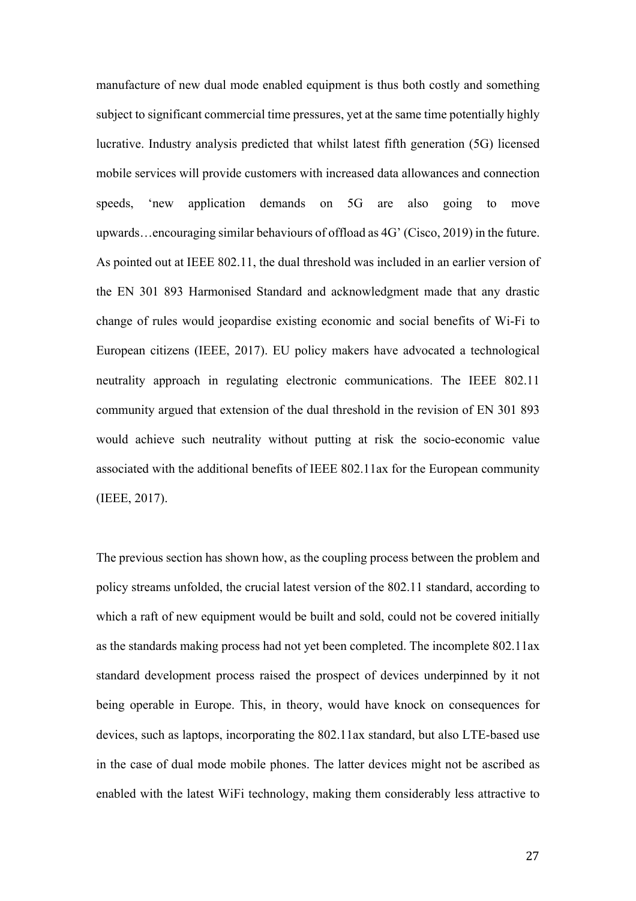manufacture of new dual mode enabled equipment is thus both costly and something subject to significant commercial time pressures, yet at the same time potentially highly lucrative. Industry analysis predicted that whilst latest fifth generation (5G) licensed mobile services will provide customers with increased data allowances and connection speeds, 'new application demands on 5G are also going to move upwards…encouraging similar behaviours of offload as 4G' (Cisco, 2019) in the future. As pointed out at IEEE 802.11, the dual threshold was included in an earlier version of the EN 301 893 Harmonised Standard and acknowledgment made that any drastic change of rules would jeopardise existing economic and social benefits of Wi-Fi to European citizens (IEEE, 2017). EU policy makers have advocated a technological neutrality approach in regulating electronic communications. The IEEE 802.11 community argued that extension of the dual threshold in the revision of EN 301 893 would achieve such neutrality without putting at risk the socio-economic value associated with the additional benefits of IEEE 802.11ax for the European community (IEEE, 2017).

The previous section has shown how, as the coupling process between the problem and policy streams unfolded, the crucial latest version of the 802.11 standard, according to which a raft of new equipment would be built and sold, could not be covered initially as the standards making process had not yet been completed. The incomplete 802.11ax standard development process raised the prospect of devices underpinned by it not being operable in Europe. This, in theory, would have knock on consequences for devices, such as laptops, incorporating the 802.11ax standard, but also LTE-based use in the case of dual mode mobile phones. The latter devices might not be ascribed as enabled with the latest WiFi technology, making them considerably less attractive to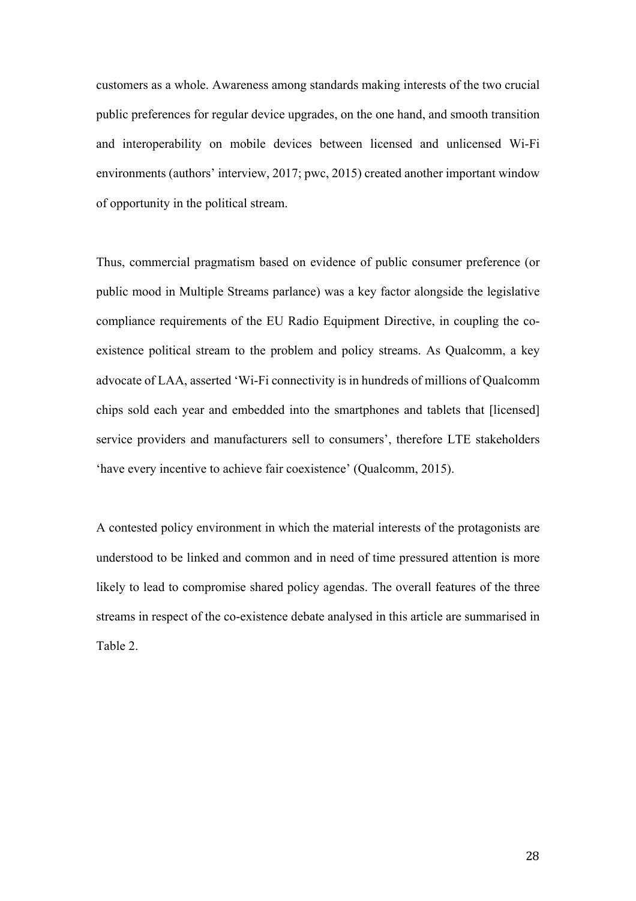customers as a whole. Awareness among standards making interests of the two crucial public preferences for regular device upgrades, on the one hand, and smooth transition and interoperability on mobile devices between licensed and unlicensed Wi-Fi environments (authors' interview, 2017; pwc, 2015) created another important window of opportunity in the political stream.

Thus, commercial pragmatism based on evidence of public consumer preference (or public mood in Multiple Streams parlance) was a key factor alongside the legislative compliance requirements of the EU Radio Equipment Directive, in coupling the coexistence political stream to the problem and policy streams. As Qualcomm, a key advocate of LAA, asserted 'Wi-Fi connectivity is in hundreds of millions of Qualcomm chips sold each year and embedded into the smartphones and tablets that [licensed] service providers and manufacturers sell to consumers', therefore LTE stakeholders 'have every incentive to achieve fair coexistence' (Qualcomm, 2015).

A contested policy environment in which the material interests of the protagonists are understood to be linked and common and in need of time pressured attention is more likely to lead to compromise shared policy agendas. The overall features of the three streams in respect of the co-existence debate analysed in this article are summarised in Table 2.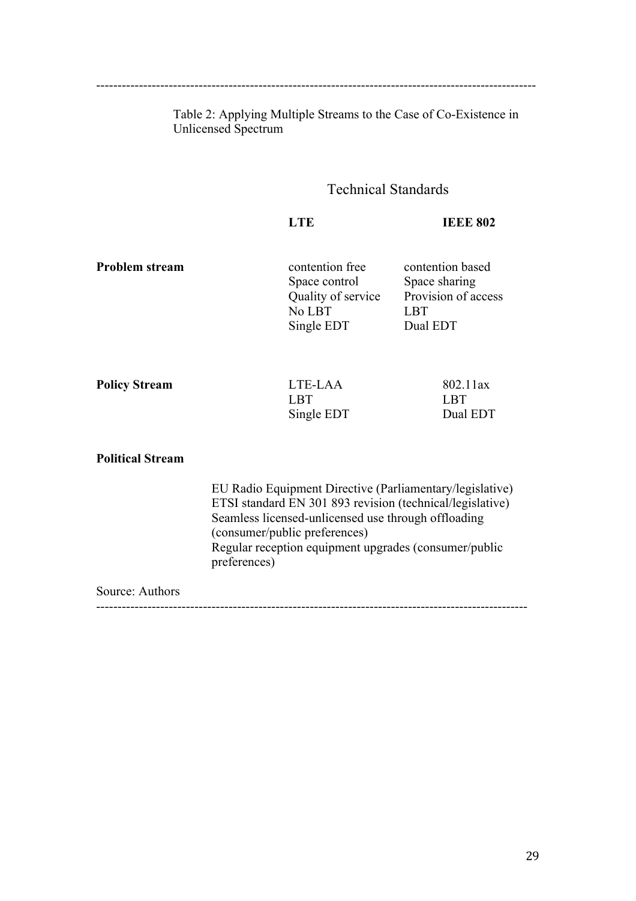Table 2: Applying Multiple Streams to the Case of Co-Existence in

Unlicensed Spectrum

-------------------------------------------------------------------------------------------------------

### Technical Standards

**IEEE 802** 

**Problem stream** contention free contention based

Space control Space sharing No LBT LBT Single EDT

Quality of service Provision of access

| <b>Policy Stream</b> | LTE-LAA    | 802.11ax |
|----------------------|------------|----------|
|                      | LBT        | L RT     |
|                      | Single EDT | Dual EDT |

### **Political Stream**

EU Radio Equipment Directive (Parliamentary/legislative) ETSI standard EN 301 893 revision (technical/legislative) Seamless licensed-unlicensed use through offloading (consumer/public preferences) Regular reception equipment upgrades (consumer/public preferences)

### Source: Authors

-----------------------------------------------------------------------------------------------------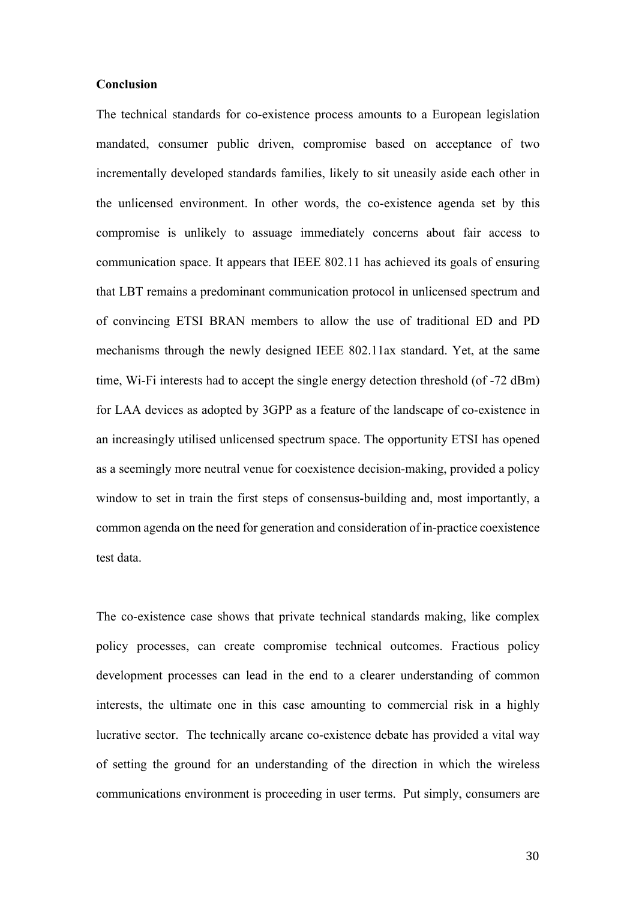### **Conclusion**

The technical standards for co-existence process amounts to a European legislation mandated, consumer public driven, compromise based on acceptance of two incrementally developed standards families, likely to sit uneasily aside each other in the unlicensed environment. In other words, the co-existence agenda set by this compromise is unlikely to assuage immediately concerns about fair access to communication space. It appears that IEEE 802.11 has achieved its goals of ensuring that LBT remains a predominant communication protocol in unlicensed spectrum and of convincing ETSI BRAN members to allow the use of traditional ED and PD mechanisms through the newly designed IEEE 802.11ax standard. Yet, at the same time, Wi-Fi interests had to accept the single energy detection threshold (of -72 dBm) for LAA devices as adopted by 3GPP as a feature of the landscape of co-existence in an increasingly utilised unlicensed spectrum space. The opportunity ETSI has opened as a seemingly more neutral venue for coexistence decision-making, provided a policy window to set in train the first steps of consensus-building and, most importantly, a common agenda on the need for generation and consideration of in-practice coexistence test data.

The co-existence case shows that private technical standards making, like complex policy processes, can create compromise technical outcomes. Fractious policy development processes can lead in the end to a clearer understanding of common interests, the ultimate one in this case amounting to commercial risk in a highly lucrative sector. The technically arcane co-existence debate has provided a vital way of setting the ground for an understanding of the direction in which the wireless communications environment is proceeding in user terms. Put simply, consumers are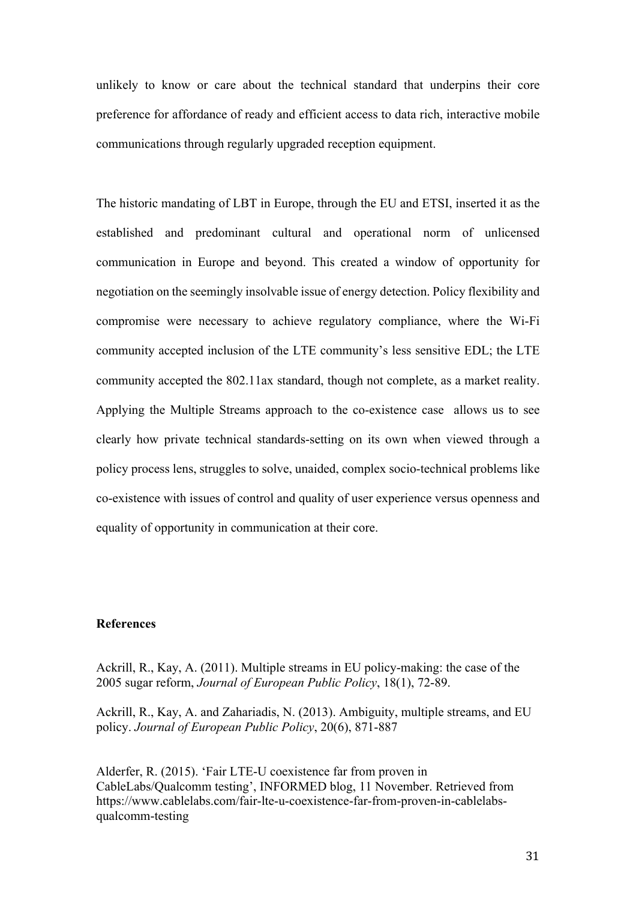unlikely to know or care about the technical standard that underpins their core preference for affordance of ready and efficient access to data rich, interactive mobile communications through regularly upgraded reception equipment.

The historic mandating of LBT in Europe, through the EU and ETSI, inserted it as the established and predominant cultural and operational norm of unlicensed communication in Europe and beyond. This created a window of opportunity for negotiation on the seemingly insolvable issue of energy detection. Policy flexibility and compromise were necessary to achieve regulatory compliance, where the Wi-Fi community accepted inclusion of the LTE community's less sensitive EDL; the LTE community accepted the 802.11ax standard, though not complete, as a market reality. Applying the Multiple Streams approach to the co-existence case allows us to see clearly how private technical standards-setting on its own when viewed through a policy process lens, struggles to solve, unaided, complex socio-technical problems like co-existence with issues of control and quality of user experience versus openness and equality of opportunity in communication at their core.

### **References**

Ackrill, R., Kay, A. (2011). Multiple streams in EU policy-making: the case of the 2005 sugar reform, *Journal of European Public Policy*, 18(1), 72-89.

Ackrill, R., Kay, A. and Zahariadis, N. (2013). Ambiguity, multiple streams, and EU policy. *Journal of European Public Policy*, 20(6), 871-887

Alderfer, R. (2015). 'Fair LTE-U coexistence far from proven in CableLabs/Qualcomm testing', INFORMED blog, 11 November. Retrieved from https://www.cablelabs.com/fair-lte-u-coexistence-far-from-proven-in-cablelabsqualcomm-testing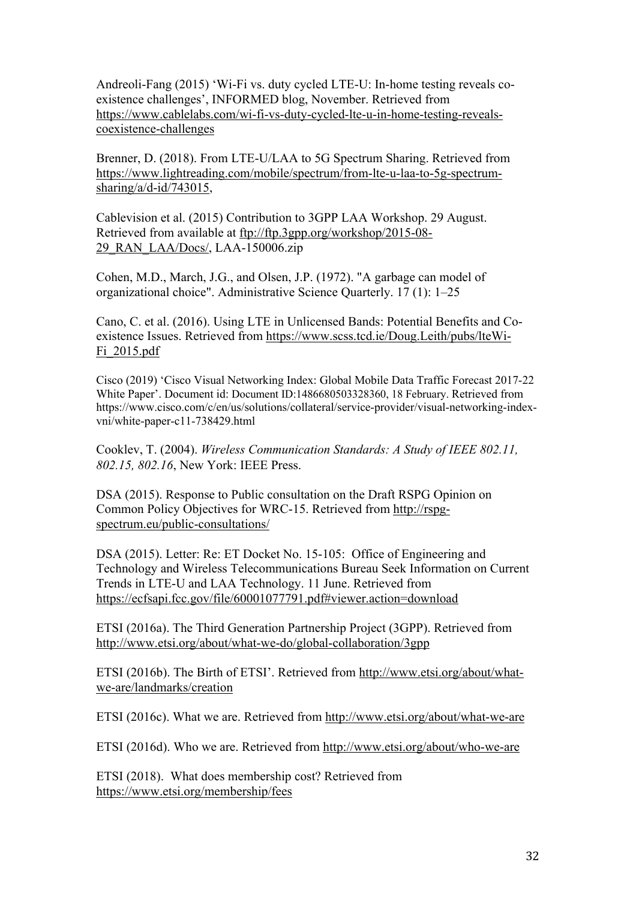Andreoli-Fang (2015) 'Wi-Fi vs. duty cycled LTE-U: In-home testing reveals coexistence challenges', INFORMED blog, November. Retrieved from https://www.cablelabs.com/wi-fi-vs-duty-cycled-lte-u-in-home-testing-revealscoexistence-challenges

Brenner, D. (2018). From LTE-U/LAA to 5G Spectrum Sharing. Retrieved from https://www.lightreading.com/mobile/spectrum/from-lte-u-laa-to-5g-spectrumsharing/a/d-id/743015,

Cablevision et al. (2015) Contribution to 3GPP LAA Workshop. 29 August. Retrieved from available at ftp://ftp.3gpp.org/workshop/2015-08- 29\_RAN\_LAA/Docs/, LAA-150006.zip

Cohen, M.D., March, J.G., and Olsen, J.P. (1972). "A garbage can model of organizational choice". Administrative Science Quarterly. 17 (1): 1–25

Cano, C. et al. (2016). Using LTE in Unlicensed Bands: Potential Benefits and Coexistence Issues. Retrieved from https://www.scss.tcd.ie/Doug.Leith/pubs/lteWi-Fi\_2015.pdf

Cisco (2019) 'Cisco Visual Networking Index: Global Mobile Data Traffic Forecast 2017-22 White Paper'. Document id: Document ID:1486680503328360, 18 February. Retrieved from https://www.cisco.com/c/en/us/solutions/collateral/service-provider/visual-networking-indexvni/white-paper-c11-738429.html

Cooklev, T. (2004). *Wireless Communication Standards: A Study of IEEE 802.11, 802.15, 802.16*, New York: IEEE Press.

DSA (2015). Response to Public consultation on the Draft RSPG Opinion on Common Policy Objectives for WRC-15. Retrieved from http://rspgspectrum.eu/public-consultations/

DSA (2015). Letter: Re: ET Docket No. 15-105: Office of Engineering and Technology and Wireless Telecommunications Bureau Seek Information on Current Trends in LTE-U and LAA Technology. 11 June. Retrieved from https://ecfsapi.fcc.gov/file/60001077791.pdf#viewer.action=download

ETSI (2016a). The Third Generation Partnership Project (3GPP). Retrieved from http://www.etsi.org/about/what-we-do/global-collaboration/3gpp

ETSI (2016b). The Birth of ETSI'. Retrieved from http://www.etsi.org/about/whatwe-are/landmarks/creation

ETSI (2016c). What we are. Retrieved from http://www.etsi.org/about/what-we-are

ETSI (2016d). Who we are. Retrieved from http://www.etsi.org/about/who-we-are

ETSI (2018). What does membership cost? Retrieved from https://www.etsi.org/membership/fees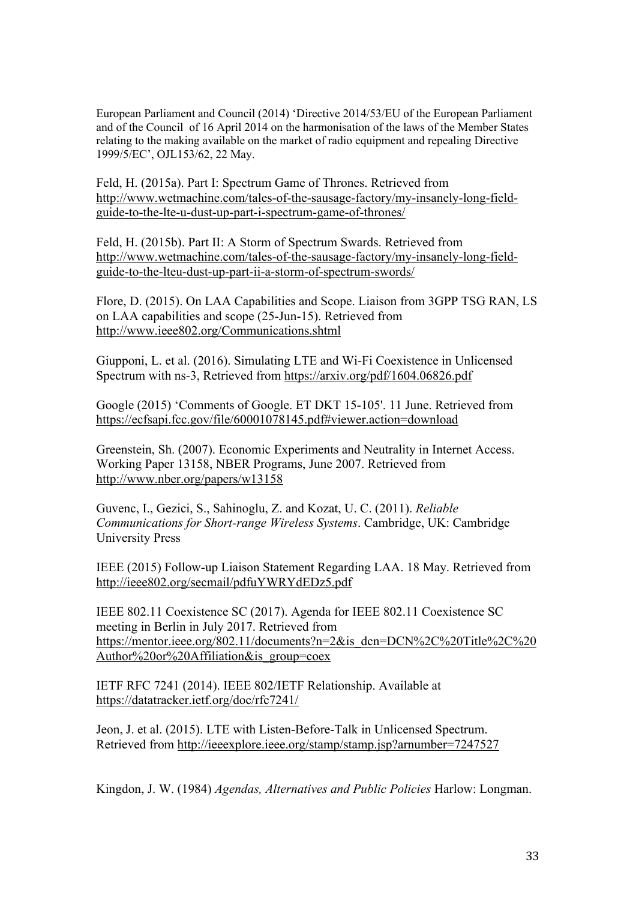European Parliament and Council (2014) 'Directive 2014/53/EU of the European Parliament and of the Council of 16 April 2014 on the harmonisation of the laws of the Member States relating to the making available on the market of radio equipment and repealing Directive 1999/5/EC', OJL153/62, 22 May.

Feld, H. (2015a). Part I: Spectrum Game of Thrones. Retrieved from http://www.wetmachine.com/tales-of-the-sausage-factory/my-insanely-long-fieldguide-to-the-lte-u-dust-up-part-i-spectrum-game-of-thrones/

Feld, H. (2015b). Part II: A Storm of Spectrum Swards. Retrieved from http://www.wetmachine.com/tales-of-the-sausage-factory/my-insanely-long-fieldguide-to-the-lteu-dust-up-part-ii-a-storm-of-spectrum-swords/

Flore, D. (2015). On LAA Capabilities and Scope. Liaison from 3GPP TSG RAN, LS on LAA capabilities and scope (25-Jun-15). Retrieved from http://www.ieee802.org/Communications.shtml

Giupponi, L. et al. (2016). Simulating LTE and Wi-Fi Coexistence in Unlicensed Spectrum with ns-3, Retrieved from https://arxiv.org/pdf/1604.06826.pdf

Google (2015) 'Comments of Google. ET DKT 15-105'. 11 June. Retrieved from https://ecfsapi.fcc.gov/file/60001078145.pdf#viewer.action=download

Greenstein, Sh. (2007). Economic Experiments and Neutrality in Internet Access. Working Paper 13158, NBER Programs, June 2007. Retrieved from http://www.nber.org/papers/w13158

Guvenc, I., Gezici, S., Sahinoglu, Z. and Kozat, U. C. (2011). *Reliable Communications for Short-range Wireless Systems*. Cambridge, UK: Cambridge University Press

IEEE (2015) Follow-up Liaison Statement Regarding LAA. 18 May. Retrieved from http://ieee802.org/secmail/pdfuYWRYdEDz5.pdf

IEEE 802.11 Coexistence SC (2017). Agenda for IEEE 802.11 Coexistence SC meeting in Berlin in July 2017. Retrieved from https://mentor.ieee.org/802.11/documents?n=2&is\_dcn=DCN%2C%20Title%2C%20 Author%20or%20Affiliation&is\_group=coex

IETF RFC 7241 (2014). IEEE 802/IETF Relationship. Available at https://datatracker.ietf.org/doc/rfc7241/

Jeon, J. et al. (2015). LTE with Listen-Before-Talk in Unlicensed Spectrum. Retrieved from http://ieeexplore.ieee.org/stamp/stamp.jsp?arnumber=7247527

Kingdon, J. W. (1984) *Agendas, Alternatives and Public Policies* Harlow: Longman.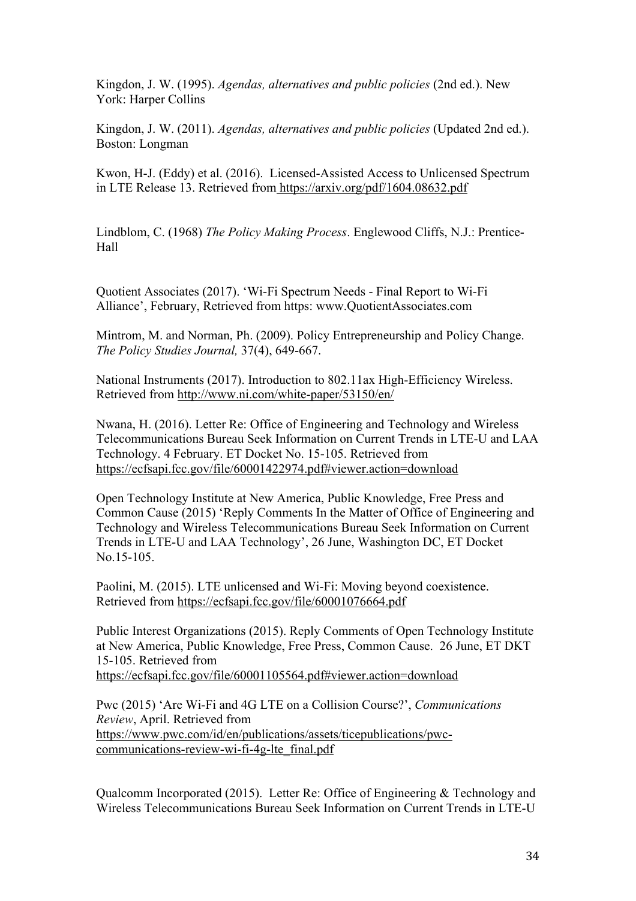Kingdon, J. W. (1995). *Agendas, alternatives and public policies* (2nd ed.). New York: Harper Collins

Kingdon, J. W. (2011). *Agendas, alternatives and public policies* (Updated 2nd ed.). Boston: Longman

Kwon, H-J. (Eddy) et al. (2016). Licensed-Assisted Access to Unlicensed Spectrum in LTE Release 13. Retrieved from https://arxiv.org/pdf/1604.08632.pdf

Lindblom, C. (1968) *The Policy Making Process*. Englewood Cliffs, N.J.: Prentice-Hall

Quotient Associates (2017). 'Wi-Fi Spectrum Needs - Final Report to Wi-Fi Alliance', February, Retrieved from https: www.QuotientAssociates.com

Mintrom, M. and Norman, Ph. (2009). Policy Entrepreneurship and Policy Change. *The Policy Studies Journal,* 37(4), 649-667.

National Instruments (2017). Introduction to 802.11ax High-Efficiency Wireless. Retrieved from http://www.ni.com/white-paper/53150/en/

Nwana, H. (2016). Letter Re: Office of Engineering and Technology and Wireless Telecommunications Bureau Seek Information on Current Trends in LTE-U and LAA Technology. 4 February. ET Docket No. 15-105. Retrieved from https://ecfsapi.fcc.gov/file/60001422974.pdf#viewer.action=download

Open Technology Institute at New America, Public Knowledge, Free Press and Common Cause (2015) 'Reply Comments In the Matter of Office of Engineering and Technology and Wireless Telecommunications Bureau Seek Information on Current Trends in LTE-U and LAA Technology', 26 June, Washington DC, ET Docket No.15-105.

Paolini, M. (2015). LTE unlicensed and Wi-Fi: Moving beyond coexistence. Retrieved from https://ecfsapi.fcc.gov/file/60001076664.pdf

Public Interest Organizations (2015). Reply Comments of Open Technology Institute at New America, Public Knowledge, Free Press, Common Cause. 26 June, ET DKT 15-105. Retrieved from https://ecfsapi.fcc.gov/file/60001105564.pdf#viewer.action=download

Pwc (2015) 'Are Wi-Fi and 4G LTE on a Collision Course?', *Communications Review*, April. Retrieved from https://www.pwc.com/id/en/publications/assets/ticepublications/pwccommunications-review-wi-fi-4g-lte\_final.pdf

Qualcomm Incorporated (2015). Letter Re: Office of Engineering & Technology and Wireless Telecommunications Bureau Seek Information on Current Trends in LTE-U